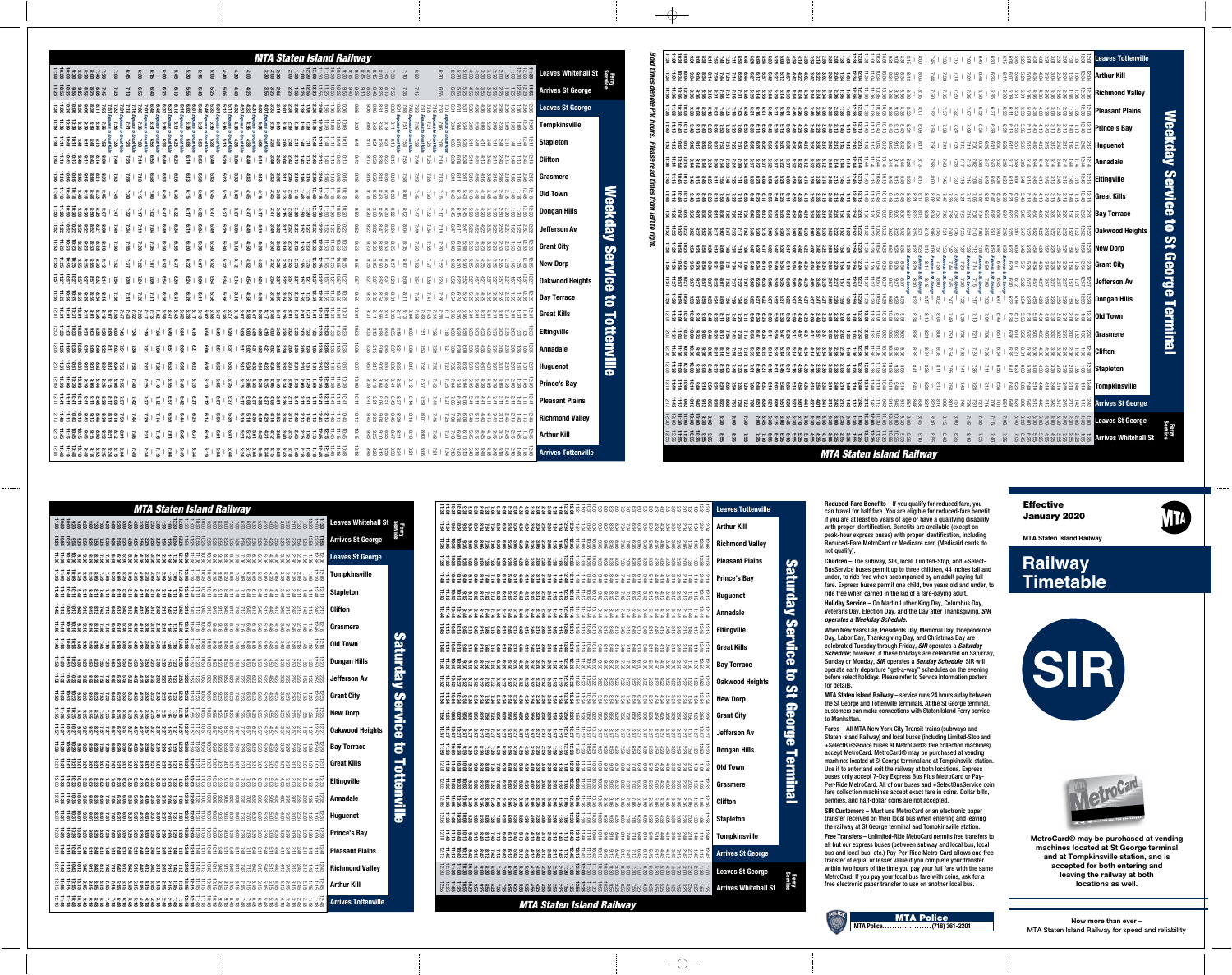



**MTA Staten Island Railway**

# **Railway Timetable**





**MetroCard® may be purchased at vending machines located at St George terminal and at Tompkinsville station, and is accepted for both entering and leaving the railway at both locations as well.**

**Now more than ever –** MTA Staten Island Railway for speed and reliability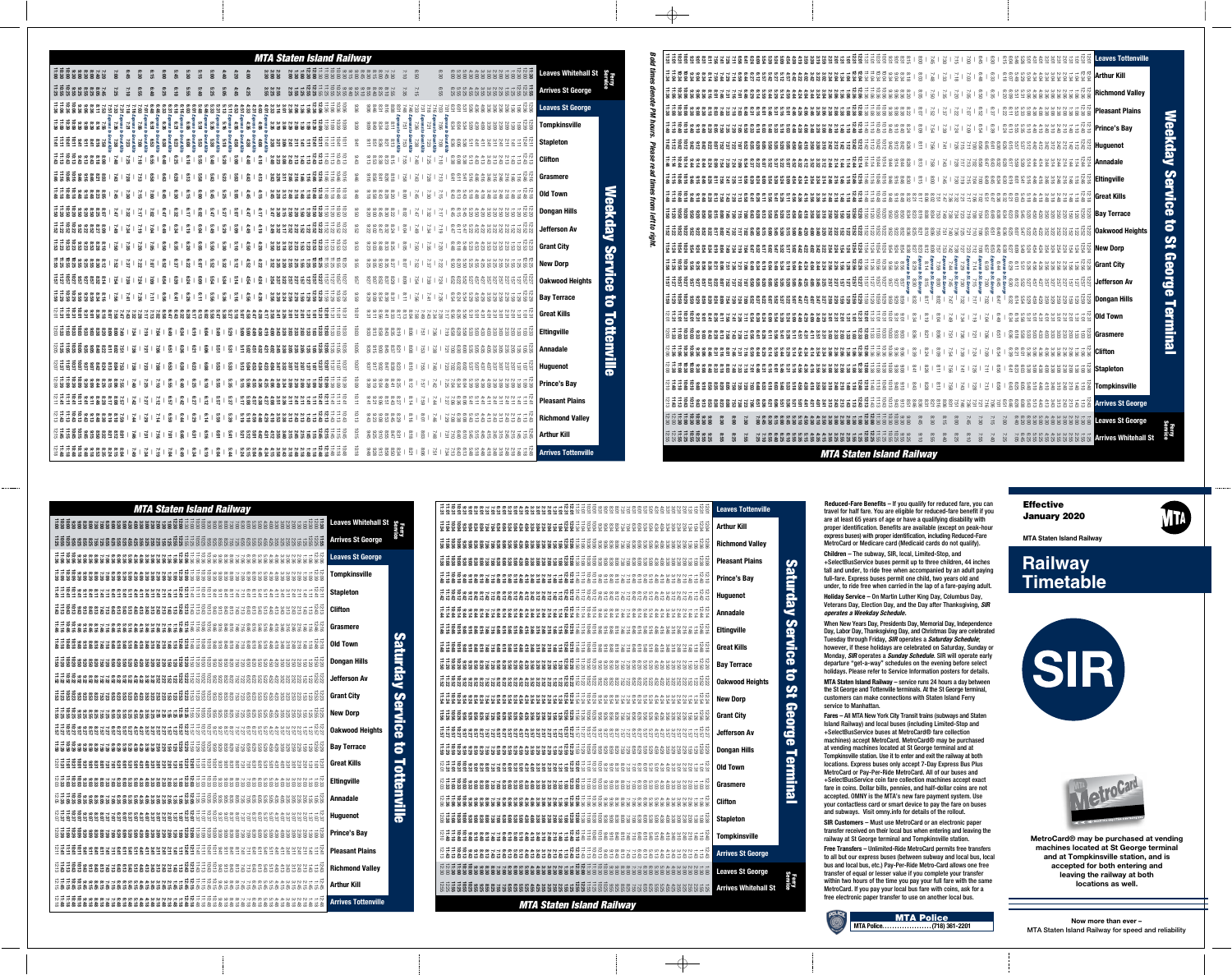**Reduced-Fare Benefits** – If you qualify for reduced fare, you can travel for half fare. You are eligible for reduced-fare benefit if you are at least 65 years of age or have a qualifying disability with proper identification. Benefits are available (except on peak-hour express buses) with proper identification, including Reduced-Fare MetroCard or Medicare card (Medicaid cards do not qualify).

**Children** – The subway, SIR, local, Limited-Stop, and +SelectBusService buses permit up to three children, 44 inches tall and under, to ride free when accompanied by an adult paying full-fare. Express buses permit one child, two years old and under, to ride free when carried in the lap of a fare-paying adult.

**Holiday Service** – On Martin Luther King Day, Columbus Day, Veterans Day, Election Day, and the Day after Thanksgiving, *SIR operates a Weekday Schedule.* 

When New Years Day, Presidents Day, Memorial Day, Independence Day, Labor Day, Thanksgiving Day, and Christmas Day are celebrated Tuesday through Friday, *SIR* operates a *Saturday Schedule*; however, if these holidays are celebrated on Saturday, Sunday or Monday, *SIR* operates a *Sunday Schedule*. SIR will operate early departure "get-a-way" schedules on the evening before select holidays. Please refer to Service Information posters for details.

**MTA Staten Island Railway** – service runs 24 hours a day between the St George and Tottenville terminals. At the St George terminal, customers can make connections with Staten Island Ferry service to Manhattan.

**Fares** – All MTA New York City Transit trains (subways and Staten Island Railway) and local buses (including Limited-Stop and +SelectBusService buses at MetroCard® fare collection machines) accept MetroCard. MetroCard® may be purchased at vending machines located at St George terminal and at Tompkinsville station. Use it to enter and exit the railway at both locations. Express buses only accept 7-Day Express Bus Plus MetroCard or Pay-Per-Ride MetroCard. All of our buses and +SelectBusService coin fare collection machines accept exact fare in coins. Dollar bills, pennies, and half-dollar coins are not accepted. OMNY is the MTA's new fare payment system. Use your contactless card or smart device to pay the fare on buses and subways. Visit omny.info for details of the rollout.

**SIR Customers** – Must use MetroCard or an electronic paper transfer received on their local bus when entering and leaving the railway at St George terminal and Tompkinsville station.

**Free Transfers** – Unlimited-Ride MetroCard permits free transfers to all but our express buses (between subway and local bus, local bus and local bus, etc.) Pay-Per-Ride Metro-Card allows one free transfer of equal or lesser value if you complete your transfer within two hours of the time you pay your full fare with the same MetroCard. If you pay your local bus fare with coins, ask for a free electronic paper transfer to use on another local bus.



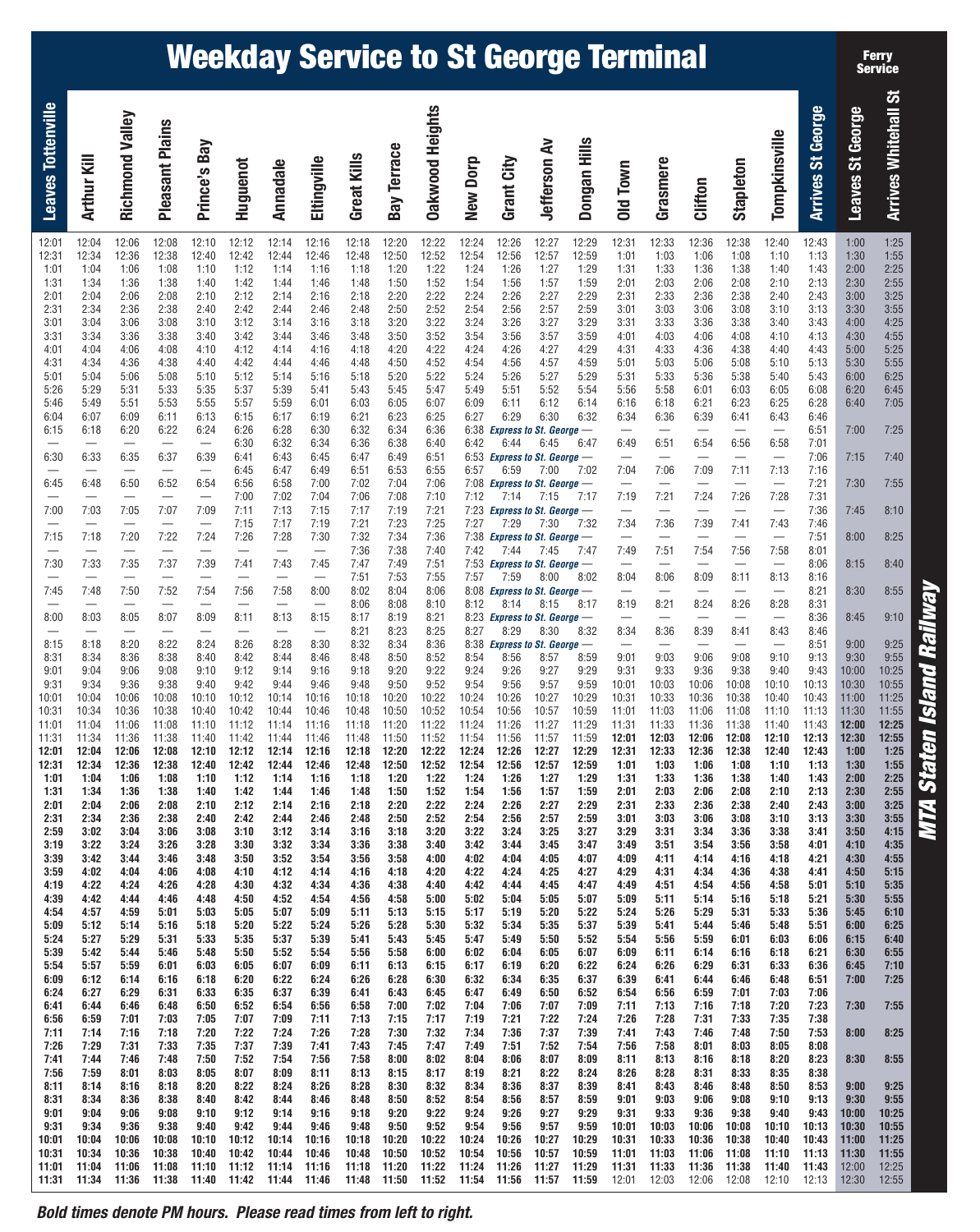# **Weekday Service to St George Terminal**

| <b>Arrives Whitehall St</b> | 1:25<br>1:55<br>2:25<br>2:55<br>3:25<br>3:55<br>4:25<br>4:55<br>5:25<br>5:55<br>6:25<br>6:45<br>7:05<br>7:25<br>7:40<br>7:55<br>8:10                                                                                                                                            | 8:25                                                         | 8:40<br>8:55                                                             | 9:10                                 | 9:25<br>9:55<br>10:25<br>10:55<br>11:25<br>11:55                            | 12:25<br>12:55<br>1:25<br>1:55<br>2:25<br>2:55<br>3:25<br>3:55   | 4:15<br>4:35<br>4:55<br>5:15<br>5:35<br>5:55<br>6:10<br>6:25 | 6:40<br>6:55<br>7:10<br>7:25<br>7:55                 | 8:25<br>8:55<br>9:25<br>9:55                 | 10:25<br>10:55<br>11:25<br>11:55<br>12:25<br>12:55                                                                             |
|-----------------------------|---------------------------------------------------------------------------------------------------------------------------------------------------------------------------------------------------------------------------------------------------------------------------------|--------------------------------------------------------------|--------------------------------------------------------------------------|--------------------------------------|-----------------------------------------------------------------------------|------------------------------------------------------------------|--------------------------------------------------------------|------------------------------------------------------|----------------------------------------------|--------------------------------------------------------------------------------------------------------------------------------|
| Leaves St George            | 1:00<br>1:30<br>2:00<br>2:30<br>3:00<br>3:30<br>4:00<br>4:30<br>5:00<br>5:30<br>6:00<br>6:20<br>6:40<br>7:00<br>7:15<br>7:30<br>7:45                                                                                                                                            | 8:00                                                         | 8:15<br>8:30                                                             | 8:45                                 | 9:00<br>9:30<br>10:00<br>10:30<br>11:00<br>11:30                            | 12:00<br>12:30<br>1:00<br>1:30<br>2:00<br>2:30<br>3:00<br>3:30   | 3:50<br>4:10<br>4:30<br>4:50<br>5:10<br>5:30<br>5:45<br>6:00 | 6:15<br>6:30<br>6:45<br>7:00<br>7:30                 | 8:00<br>8:30<br>9:00<br>9:30                 | 10:00<br>10:30<br>11:00<br>11:30<br>12:00<br>12:30                                                                             |
| <b>Arrives St George</b>    | 12:43<br>1:13<br>1:43<br>2:13<br>2:43<br>3:13<br>3:43<br>4:13<br>4:43<br>5:13<br>5:43<br>6:08<br>6:28<br>6:46<br>6:51<br>7:01<br>7:06<br>7:16<br>7:21<br>7:31<br>7:36                                                                                                           | 7:46<br>7:51<br>8:01                                         | 8:06<br>8:16<br>8:21                                                     | 8:31<br>8:36<br>8:46                 | 8:51<br>9:13<br>9:43<br>10:13<br>10:43<br>11:13                             | 11:43<br>12:13<br>12:43<br>1:13<br>1:43<br>2:13<br>2:43<br>3:13  | 3:41<br>4:01<br>4:21<br>4:41<br>5:01<br>5:21<br>5:36<br>5:51 | 6:06<br>6:21<br>6:36<br>6:51<br>7:06<br>7:23<br>7:38 | 7:53<br>8:08<br>8:23<br>8:38<br>8:53<br>9:13 | 9:43<br>10:13<br>10:43<br>11:13<br>11:43<br>12:13                                                                              |
| Tompkinsville               | 12:40<br>1:10<br>1:40<br>2:10<br>2:40<br>3:10<br>3:40<br>4:10<br>4:40<br>5:10<br>5:40<br>6:05<br>6:25<br>6:43<br>$\qquad \qquad$<br>6:58<br>$\qquad \qquad -$<br>7:13<br>$\qquad \qquad -$<br>7:28<br>$\overline{\phantom{m}}$                                                  | 7:43<br>$\qquad \qquad -$<br>7:58                            | 8:13<br>$\qquad \qquad$                                                  | 8:28<br>$\qquad \qquad -$            | 8:43<br>$\overline{\phantom{0}}$<br>9:10<br>9:40<br>10:10<br>10:40<br>11:10 | 11:40<br>12:10<br>12:40<br>1:10<br>1:40<br>2:10<br>2:40<br>3:10  | 3:38<br>3:58<br>4:18<br>4:38<br>4:58<br>5:18<br>5:33<br>5:48 | 6:03<br>6:18<br>6:33<br>6:48<br>7:03<br>7:20<br>7:35 | 7:50<br>8:05<br>8:20<br>8:35<br>8:50<br>9:10 | 9:40<br>10:10<br>10:40<br>11:10<br>11:40<br>12:10                                                                              |
| Stapleton                   | 12:38<br>1:08<br>1:38<br>2:08<br>2:38<br>3:08<br>3:38<br>4:08<br>4:38<br>5:08<br>5:38<br>6:03<br>6:23<br>6:41<br>$\overbrace{\qquad \qquad }$<br>6:56<br>7:11<br>7:26                                                                                                           | 7:41<br>$\qquad \qquad -$<br>7:56                            | 8:11                                                                     | 8:26                                 | 8:41<br>9:08<br>9:38<br>10:08<br>10:38<br>11:08                             | 11:38<br>12:08<br>12:38<br>1:08<br>1:38<br>2:08<br>2:38<br>3:08  | 3:36<br>3:56<br>4:16<br>4:36<br>4:56<br>5:16<br>5:31<br>5:46 | 6:01<br>6:16<br>6:31<br>6:46<br>7:01<br>7:18<br>7:33 | 7:48<br>8:03<br>8:18<br>8:33<br>8:48<br>9:08 | 9:38<br>10:08<br>10:38<br>11:08<br>11:38                                                                                       |
| Clifton                     | 12:36<br>1:06<br>1:36<br>2:06<br>2:36<br>3:06<br>3:36<br>4:06<br>4:36<br>5:06<br>5:36<br>6:01<br>6:21<br>6:39<br>6:54<br>7:09<br>7:24                                                                                                                                           | 7:39<br>7:54                                                 | 8:09                                                                     | 8:24<br>8:39                         | 9:06<br>9:36<br>10:06<br>10:36<br>11:06                                     | 11:36<br>12:06<br>12:36<br>1:06<br>1:36<br>2:06<br>2:36<br>3:06  | 3:34<br>3:54<br>4:14<br>4:34<br>4:54<br>5:14<br>5:29<br>5:44 | 5:59<br>6:14<br>6:29<br>6:44<br>6:59<br>7:16<br>7:31 | 7:46<br>8:01<br>8:16<br>8:31<br>8:46<br>9:06 | 9:36<br>10:06<br>10:36<br>11:06<br>11:36<br>12:06 12:08                                                                        |
| Grasmere                    | 12:33<br>1:03<br>1:33<br>2:03<br>2:33<br>3:03<br>3:33<br>4:03<br>4:33<br>5:03<br>5:33<br>5:58<br>6:18<br>6:36<br>6:51<br>$\qquad \qquad -$<br>7:06<br>$\qquad \qquad -$<br>7:21<br>$\overline{\phantom{0}}$                                                                     | 7:36<br>$\qquad \qquad -$<br>7:51                            | $\qquad \qquad -$<br>8:06                                                | 8:21<br>$\qquad \qquad -$            | 8:36<br>$\qquad \qquad -$<br>9:03<br>9:33<br>10:03<br>10:33<br>11:03        | 11:33<br>12:03<br>12:33<br>1:03<br>1:33<br>2:03<br>2:33<br>3:03  | 3:31<br>3:51<br>4:11<br>4:31<br>4:51<br>5:11<br>5:26<br>5:41 | 5:56<br>6:11<br>6:26<br>6:41<br>6:56<br>7:13<br>7:28 | 7:43<br>7:58<br>8:13<br>8:28<br>8:43<br>9:03 | 9:33<br>10:03<br>10:33<br>11:03<br>11:33                                                                                       |
| Old Town                    | 12:31<br>1:01<br>1:31<br>2:01<br>2:31<br>3:01<br>3:31<br>4:01<br>4:31<br>5:01<br>5:31<br>5:56<br>6:16<br>6:34<br>$\overline{\phantom{0}}$<br>6:49<br>$\qquad \qquad -$<br>7:04<br>7:19                                                                                          | 7:34<br>7:49                                                 | 8:04<br>$\overline{\phantom{0}}$                                         | 8:19                                 | 8:34<br>9:01<br>9:31<br>10:01<br>10:31<br>11:01                             | 11:31<br>12:01<br>12:31<br>1:01<br>1:31<br>2:01<br>2:31<br>3:01  | 3:29<br>3:49<br>4:09<br>4:29<br>4:49<br>5:09<br>5:24<br>5:39 | 5:54<br>6:09<br>6:24<br>6:39<br>6:54<br>7:11<br>7:26 | 7:41<br>7:56<br>8:11<br>8:26<br>8:41<br>9:01 | 9:31<br>10:01<br>10:31<br>11:01<br>11:31                                                                                       |
| Dongan Hills                | 12:29<br>12:59<br>1:29<br>1:59<br>2:29<br>2:59<br>3:29<br>3:59<br>4:29<br>4:59<br>5:29<br>5:54<br>6:14<br>6:32<br>6:47<br>7:02<br>7:17                                                                                                                                          | 7:32<br>7:47                                                 | 8:02                                                                     | 8:17                                 | 8:32<br>8:59<br>9:29<br>9:59<br>10:29<br>10:59                              | 11:29<br>11:59<br>12:29<br>12:59<br>1:29<br>1:59<br>2:29<br>2:59 | 3:27<br>3:47<br>4:07<br>4:27<br>4:47<br>5:07<br>5:22<br>5:37 | 5:52<br>6:07<br>6:22<br>6:37<br>6:52<br>7:09<br>7:24 | 7:39<br>7:54<br>8:09<br>8:24<br>8:39<br>8:59 | 9:29<br>9:59<br>10:29<br>10:59<br>11:29                                                                                        |
| Jefferson Av                | 12:27<br>12:57<br>1:27<br>1:57<br>2:27<br>2:57<br>3:27<br>3:57<br>4:27<br>4:57<br>5:27<br>5:52<br>6:12<br>6:30<br>6:45<br>7:00<br>7:15                                                                                                                                          | 7:30<br>7:45                                                 | 8:00                                                                     | 8:15                                 | 8:30<br>8:57<br>9:27<br>9:57<br>10:27<br>10:57                              | 11:27<br>11:57<br>12:27<br>12:57<br>1:27<br>1:57<br>2:27<br>2:57 | 3:25<br>3:45<br>4:05<br>4:25<br>4:45<br>5:05<br>5:20<br>5:35 | 5:50<br>6:05<br>6:20<br>6:35<br>6:50<br>7:07<br>7:22 | 7:37<br>7:52<br>8:07<br>8:22<br>8:37<br>8:57 | 9:27<br>9:57<br>10:27<br>10:57<br>11:27                                                                                        |
| Grant City                  | 12:26<br>12:56<br>1:26<br>1:56<br>2:26<br>2:56<br>3:26<br>3:56<br>4:26<br>4:56<br>5:26<br>5:51<br>6:11<br>6:29<br><b>Express to St. George</b> -<br>6:44<br>6:53 Express to St. George $-$<br>6:59<br><b>Express to St. George</b> -<br>7:14<br><b>Express to St. George --</b> | 7:29<br>Express to St. George -<br>7:44                      | <b>Express to St. George</b> -<br>7:59<br><b>Express to St. George</b> - | 8:14<br>8:23 Express to St. George - | 8:29<br>Express to St. George -<br>8:56<br>9:26<br>9:56<br>10:26<br>10:56   | 11:26<br>11:56<br>12:26<br>12:56<br>1:26<br>1:56<br>2:26<br>2:56 | 3:24<br>3:44<br>4:04<br>4:24<br>4:44<br>5:04<br>5:19<br>5:34 | 5:49<br>6:04<br>6:19<br>6:34<br>6:49<br>7:06<br>7:21 | 7:36<br>7:51<br>8:06<br>8:21<br>8:36<br>8:56 | 9:26<br>9:56<br>10:26<br>10:56<br>11:26                                                                                        |
| New Dorp                    | 12:24<br>12:54<br>1:24<br>1:54<br>2:24<br>2:54<br>3:24<br>3:54<br>4:24<br>4:54<br>5:24<br>5:49<br>6:09<br>6:27<br>6:38<br>6:42<br>6:57<br>7:08<br>7:12<br>7:23                                                                                                                  | 7:27<br>7:38<br>7:42                                         | 7:53<br>7:57<br>8:08                                                     | 8:12                                 | 8:27<br>8:38<br>8:54<br>9:24<br>9:54<br>10:24<br>10:54                      | 11:24<br>11:54<br>12:24<br>12:54<br>1:24<br>1:54<br>2:24<br>2:54 | 3:22<br>3:42<br>4:02<br>4:22<br>4:42<br>5:02<br>5:17<br>5:32 | 5:47<br>6:02<br>6:17<br>6:32<br>6:47<br>7:04<br>7:19 | 7:34<br>7:49<br>8:04<br>8:19<br>8:34<br>8:54 | 9:24<br>9:54<br>10:24<br>10:54<br>11:24                                                                                        |
| <b>Oakwood Heights</b>      | 12:22<br>12:52<br>1:22<br>1:52<br>2:22<br>2:52<br>3:22<br>3:52<br>4:22<br>4:52<br>5:22<br>5:47<br>6:07<br>6:25<br>6:36<br>6:40<br>6:51<br>6:55<br>7:06<br>7:10<br>7:21                                                                                                          | 7:25<br>7:36<br>7:40                                         | 7:51<br>7:55<br>8:06                                                     | 8:10<br>8:21                         | 8:25<br>8:36<br>8:52<br>9:22<br>9:52<br>10:22<br>10:52                      | 11:22<br>11:52<br>12:22<br>12:52<br>1:22<br>1:52<br>2:22<br>2:52 | 3:20<br>3:40<br>4:00<br>4:20<br>4:40<br>5:00<br>5:15<br>5:30 | 5:45<br>6:00<br>6:15<br>6:30<br>6:45<br>7:02<br>7:17 | 7:32<br>7:47<br>8:02<br>8:17<br>8:32<br>8:52 | 9:22<br>9:52<br>10:22<br>10:52<br>11:22                                                                                        |
| <b>Bay Terrace</b>          | 12:20<br>12:50<br>1:20<br>1:50<br>2:20<br>2:50<br>3:20<br>3:50<br>4:20<br>4:50<br>5:20<br>5:45<br>6:05<br>6:23<br>6:34<br>6:38<br>6:49<br>6:53<br>7:04<br>7:08<br>7:19                                                                                                          | 7:23<br>7:34<br>7:38                                         | 7:49<br>7:53<br>8:04                                                     | 8:08<br>8:19<br>8:23                 | 8:34<br>8:50<br>9:20<br>9:50<br>10:20<br>10:50                              | 11:20<br>11:50<br>12:20<br>12:50<br>1:20<br>1:50<br>2:20<br>2:50 | 3:18<br>3:38<br>3:58<br>4:18<br>4:38<br>4:58<br>5:13<br>5:28 | 5:43<br>5:58<br>6:13<br>6:28<br>6:43<br>7:00<br>7:15 | 7:30<br>7:45<br>8:00<br>8:15<br>8:30<br>8:50 | 9:20<br>9:50<br>10:20<br>10:50<br>11:20                                                                                        |
| Great Kills                 | 12:18<br>12:48<br>1:18<br>1:48<br>2:18<br>2:48<br>3:18<br>3:48<br>4:18<br>4:48<br>5:18<br>5:43<br>6:03<br>6:21<br>6:32<br>6:36<br>6:47<br>6:51<br>7:02<br>7:06<br>7:17                                                                                                          | 7:21<br>7:32<br>7:36                                         | 7:47<br>7:51<br>8:02                                                     | 8:06<br>8:17                         | 8:21<br>8:32<br>8:48<br>9:18<br>9:48<br>10:18<br>10:48                      | 11:18<br>11:48<br>12:18<br>12:48<br>1:18<br>1:48<br>2:18<br>2:48 | 3:16<br>3:36<br>3:56<br>4:16<br>4:36<br>4:56<br>5:11<br>5:26 | 5:41<br>5:56<br>6:11<br>6:26<br>6:41<br>6:58<br>7:13 | 7:28<br>7:43<br>7:58<br>8:13<br>8:28<br>8:48 | 9:18<br>9:48<br>10:18<br>10:48<br>11:18                                                                                        |
| Eltingville                 | 12:16<br>12:46<br>1:16<br>1:46<br>2:16<br>2:46<br>3:16<br>3:46<br>4:16<br>4:46<br>5:16<br>5:41<br>6:01<br>6:19<br>6:30<br>6:34<br>6:45<br>6:49<br>7:00<br>7:04<br>7:15                                                                                                          | 7:19<br>7:30                                                 | 7:45<br>8:00                                                             | $\overline{\phantom{m}}$<br>8:15     | 8:30<br>8:46<br>9:16<br>9:46<br>10:16<br>10:46                              | 11:16<br>11:46<br>12:16<br>12:46<br>1:16<br>1:46<br>2:16<br>2:46 | 3:14<br>3:34<br>3:54<br>4:14<br>4:34<br>4:54<br>5:09<br>5:24 | 5:39<br>5:54<br>6:09<br>6:24<br>6:39<br>6:56<br>7:11 | 7:26<br>7:41<br>7:56<br>8:11<br>8:26<br>8:46 | 9:16<br>9:46<br>10:16<br>10:46<br>11:16<br>11:38 11:40 11:42 11:44 11:46 11:48 11:50 11:52 11:54 11:56 11:57 11:59 12:01 12:03 |
| Annadale                    | 12:14<br>12:44<br>1:14<br>1:44<br>2:14<br>2:44<br>3:14<br>3:44<br>4:14<br>4:44<br>5:14<br>5:39<br>5:59<br>6:17<br>6:28<br>6:32<br>6:43<br>6:47<br>6:58<br>7:02<br>7:13                                                                                                          | 7:17<br>7:28<br>$\qquad \qquad -$                            | 7:43<br>7:58                                                             | 8:13                                 | 8:28<br>8:44<br>9:14<br>9:44<br>10:14<br>10:44                              | 11:14<br>11:44<br>12:14<br>12:44<br>1:14<br>1:44<br>2:14<br>2:44 | 3:12<br>3:32<br>3:52<br>4:12<br>4:32<br>4:52<br>5:07<br>5:22 | 5:37<br>5:52<br>6:07<br>6:22<br>6:37<br>6:54<br>7:09 | 7:24<br>7:39<br>7:54<br>8:09<br>8:24<br>8:44 | 9:14<br>9:44<br>10:14<br>10:44<br>11:14                                                                                        |
| Huguenot                    | 12:12<br>12:42<br>1:12<br>1:42<br>2:12<br>2:42<br>3:12<br>3:42<br>4:12<br>4:42<br>5:12<br>5:37<br>5:57<br>6:15<br>6:26<br>6:30<br>6:41<br>6:45<br>6:56<br>7:00<br>7:11                                                                                                          | 7:15<br>7:26                                                 | 7:41<br>7:56                                                             | 8:11                                 | 8:26<br>8:42<br>9:12<br>9:42<br>10:12<br>10:42                              | 11:12<br>11:42<br>12:12<br>12:42<br>1:12<br>1:42<br>2:12<br>2:42 | 3:10<br>3:30<br>3:50<br>4:10<br>4:30<br>4:50<br>5:05<br>5:20 | 5:35<br>5:50<br>6:05<br>6:20<br>6:35<br>6:52<br>7:07 | 7:22<br>7:37<br>7:52<br>8:07<br>8:22<br>8:42 | 9:12<br>9:42<br>10:12<br>10:42<br>11:12                                                                                        |
| Prince's Bay                | 12:10<br>12:40<br>1:10<br>1:40<br>2:10<br>2:40<br>3:10<br>3:40<br>4:10<br>4:40<br>5:10<br>5:35<br>5:55<br>6:13<br>6:24<br>$\qquad \qquad -$<br>6:39<br>6:54<br>$\qquad \qquad -$<br>7:09                                                                                        | $\qquad \qquad -$<br>7:24                                    | 7:39<br>7:54                                                             | $\overline{\phantom{0}}$<br>8:09     | 8:24<br>8:40<br>9:10<br>9:40<br>10:10<br>10:40                              | 11:10<br>11:40<br>12:10<br>12:40<br>1:10<br>1:40<br>2:10<br>2:40 | 3:08<br>3:28<br>3:48<br>4:08<br>4:28<br>4:48<br>5:03<br>5:18 | 5:33<br>5:48<br>6:03<br>6:18<br>6:33<br>6:50<br>7:05 | 7:20<br>7:35<br>7:50<br>8:05<br>8:20<br>8:40 | 9:10<br>9:40<br>10:10<br>10:40<br>11:10                                                                                        |
| Pleasant Plains             | 12:08<br>12:38<br>1:08<br>1:38<br>2:08<br>2:38<br>3:08<br>3:38<br>4:08<br>4:38<br>5:08<br>5:33<br>5:53<br>6:11<br>6:22<br>$\overline{\phantom{0}}$<br>6:37<br>$\overline{\phantom{0}}$<br>6:52<br>7:07                                                                          | $\overline{\phantom{0}}$<br>7:22<br>$\overline{\phantom{0}}$ | 7:37<br>7:52                                                             | 8:07                                 | 8:22<br>8:38<br>9:08<br>9:38<br>10:08<br>10:38                              | 11:08<br>11:38<br>12:08<br>12:38<br>1:08<br>1:38<br>2:08<br>2:38 | 3:06<br>3:26<br>3:46<br>4:06<br>4:26<br>4:46<br>5:01<br>5:16 | 5:31<br>5:46<br>6:01<br>6:16<br>6:31<br>6:48<br>7:03 | 7:18<br>7:33<br>7:48<br>8:03<br>8:18<br>8:38 | 9:08<br>9:38<br>10:08<br>10:38<br>11:08                                                                                        |
| Richmond Valley             | 12:06<br>12:36<br>1:06<br>1:36<br>2:06<br>2:36<br>3:06<br>3:36<br>4:06<br>4:36<br>5:06<br>5:31<br>5:51<br>6:09<br>6:20<br>$\overline{\phantom{0}}$<br>6:35<br>6:50<br>7:05                                                                                                      | $\overline{\phantom{0}}$<br>7:20                             | 7:35<br>7:50                                                             | $\overline{\phantom{0}}$<br>8:05     | 8:20<br>8:36<br>9:06<br>9:36<br>10:06<br>10:36                              | 11:06<br>11:36<br>12:06<br>12:36<br>1:06<br>1:36<br>2:06<br>2:36 | 3:04<br>3:24<br>3:44<br>4:04<br>4:24<br>4:44<br>4:59<br>5:14 | 5:29<br>5:44<br>5:59<br>6:14<br>6:29<br>6:46<br>7:01 | 7:16<br>7:31<br>7:46<br>8:01<br>8:16<br>8:36 | 9:06<br>9:36<br>10:06<br>10:36<br>11:06                                                                                        |
| Arthur Kill                 | 12:04<br>12:34<br>1:04<br>1:34<br>2:04<br>2:34<br>3:04<br>3:34<br>4:04<br>4:34<br>5:04<br>5:29<br>5:49<br>6:07<br>6:18<br>6:33<br>$\qquad \qquad$<br>6:48<br>$\overline{\phantom{0}}$<br>7:03                                                                                   | $\overline{\phantom{0}}$<br>7:18                             | 7:33<br>7:48                                                             | 8:03                                 | 8:18<br>8:34<br>9:04<br>9:34<br>10:04<br>10:34                              | 11:04<br>11:34<br>12:04<br>12:34<br>1:04<br>1:34<br>2:04<br>2:34 | 3:02<br>3:22<br>3:42<br>4:02<br>4:22<br>4:42<br>4:57<br>5:12 | 5:27<br>5:42<br>5:57<br>6:12<br>6:27<br>6:44<br>6:59 | 7:14<br>7:29<br>7:44<br>7:59<br>8:14<br>8:34 | 9:04<br>9:34<br>10:04<br>10:34<br>11:04<br>11:31 11:34 11:36                                                                   |
| <b>Leaves Tottenville</b>   | 12:01<br>12:31<br>1:01<br>1:31<br>2:01<br>2:31<br>3:01<br>3:31<br>4:01<br>4:31<br>5:01<br>5:26<br>5:46<br>6:04<br>6:15<br>6:30<br>6:45<br>7:00                                                                                                                                  | 7:15                                                         | 7:30<br>7:45                                                             | 8:00                                 | 8:15<br>8:31<br>9:01<br>9:31<br>10:01<br>10:31                              | 11:01<br>11:31<br>12:01<br>12:31<br>1:01<br>1:31<br>2:01<br>2:31 | 2:59<br>3:19<br>3:39<br>3:59<br>4:19<br>4:39<br>4:54<br>5:09 | 5:24<br>5:39<br>5:54<br>6:09<br>6:24<br>6:41<br>6:56 | 7:11<br>7:26<br>7:41<br>7:56<br>8:11<br>8:31 | 9:01<br>9:31<br>10:01<br>10:31<br>11:01                                                                                        |

**Bold times denote PM hours. Please read times from left to right.**

**MTA Staten Island Railway**

**MTA Staten Island Railway**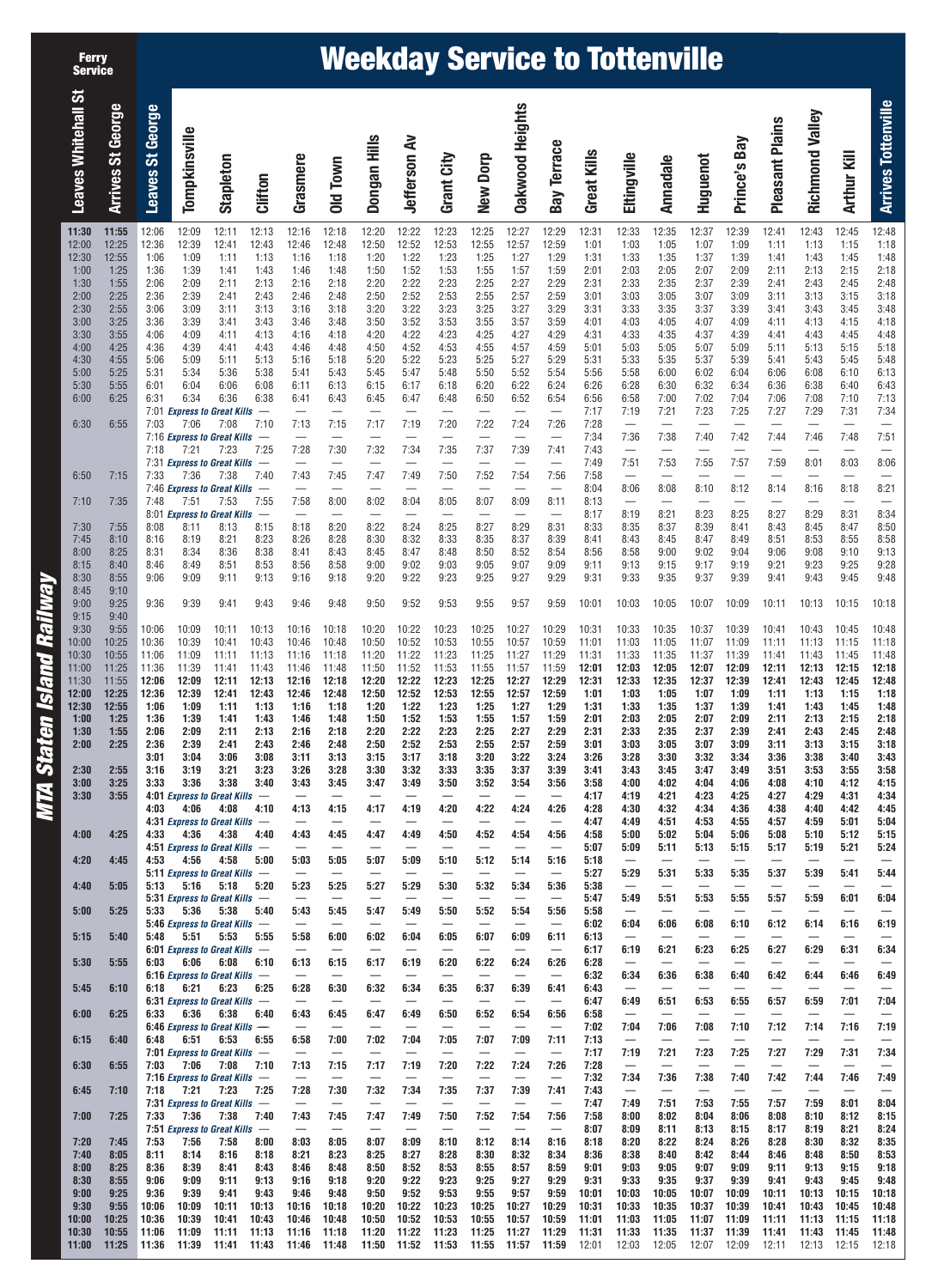| <b>Ferry</b><br><b>Service</b> |                             |                  |                       |                                                                        |                           |                                          |                                           | <b>Weekday Service to Tottenville</b> |                                  |                                           |                                  |                                          |                                          |                      |                                                                   |                                  |                                  |                                          |                                     |                                  |                                                              |                                          |
|--------------------------------|-----------------------------|------------------|-----------------------|------------------------------------------------------------------------|---------------------------|------------------------------------------|-------------------------------------------|---------------------------------------|----------------------------------|-------------------------------------------|----------------------------------|------------------------------------------|------------------------------------------|----------------------|-------------------------------------------------------------------|----------------------------------|----------------------------------|------------------------------------------|-------------------------------------|----------------------------------|--------------------------------------------------------------|------------------------------------------|
| <b>Leaves Whitehall St</b>     | George<br><b>Arrives St</b> | Leaves St George | Tompkinsville         | Stapleton                                                              | Clifton                   | Grasmere                                 | Old Town                                  | Dongan Hills                          | <b>Jefferson Av</b>              | Grant City                                | New Dorp                         | <b>Dakwood Heights</b>                   | <b>Bay Terrace</b>                       | Great Kills          | Eltingville                                                       | <b>Annadale</b>                  | Huguenot                         | Prince's Bay                             | <b>Pleasant Plains</b>              | Richmond Valley                  | Arthur Kill                                                  | <b>Arrives Tottenville</b>               |
| 11:30<br>12:00                 | 11:55<br>12:25              | 12:06<br>12:36   | 12:09<br>12:39        | 12:11<br>12:41                                                         | 12:13<br>12:43            | 12:16<br>12:46                           | 12:18<br>12:48                            | 12:20<br>12:50                        | 12:22<br>12:52                   | 12:23<br>12:53                            | 12:25<br>12:55                   | 12:27<br>12:57                           | 12:29<br>12:59                           | 12:31<br>1:01        | 12:33<br>1:03                                                     | 12:35<br>1:05                    | 12:37<br>1:07                    | 12:39<br>1:09                            | 12:41<br>1:11                       | 12:43<br>1:13                    | 12:45<br>1:15                                                | 12:48<br>1:18                            |
| 12:30<br>1:00                  | 12:55<br>1:25               | 1:06<br>1:36     | 1:09<br>1:39          | 1:11<br>1:41                                                           | 1:13<br>1:43              | 1:16<br>1:46                             | 1:18<br>1:48                              | 1:20<br>1:50                          | 1:22<br>1:52                     | 1:23<br>1:53                              | 1:25<br>1:55                     | 1:27<br>1:57                             | 1:29<br>1:59                             | 1:31<br>2:01         | 1:33<br>2:03                                                      | 1:35<br>2:05                     | 1:37<br>2:07                     | 1:39<br>2:09                             | 1:41<br>2:11                        | 1:43<br>2:13                     | 1:45<br>2:15                                                 | 1:48<br>2:18                             |
| 1:30<br>2:00                   | 1:55<br>2:25                | 2:06<br>2:36     | 2:09<br>2:39          | 2:11<br>2:41                                                           | 2:13<br>2:43              | 2:16<br>2:46                             | 2:18<br>2:48                              | 2:20<br>2:50                          | 2:22<br>2:52                     | 2:23<br>2:53                              | 2:25<br>2:55                     | 2:27<br>2:57                             | 2:29<br>2:59                             | 2:31<br>3:01         | 2:33<br>3:03                                                      | 2:35<br>3:05                     | 2:37<br>3:07                     | 2:39<br>3:09                             | 2:41<br>3:11                        | 2:43<br>3:13                     | 2:45<br>3:15                                                 | 2:48<br>3:18                             |
| 2:30                           | 2:55                        | 3:06             | 3:09                  | 3:11                                                                   | 3:13                      | 3:16                                     | 3:18                                      | 3:20                                  | 3:22                             | 3:23                                      | 3:25                             | 3:27                                     | 3:29                                     | 3:31                 | 3:33                                                              | 3:35                             | 3:37                             | 3:39                                     | 3:41                                | 3:43                             | 3:45                                                         | 3:48                                     |
| 3:00<br>3:30                   | 3:25<br>3:55                | 3:36<br>4:06     | 3:39<br>4:09          | 3:41<br>4:11                                                           | 3:43<br>4:13              | 3:46<br>4:16                             | 3:48<br>4:18                              | 3:50<br>4:20                          | 3:52<br>4:22                     | 3:53<br>4:23                              | 3:55<br>4:25                     | 3:57<br>4:27                             | 3:59<br>4:29                             | 4:01<br>4:31         | 4:03<br>4:33                                                      | 4:05<br>4:35                     | 4:07<br>4:37                     | 4:09<br>4:39                             | 4:11<br>4:41                        | 4:13<br>4:43                     | 4:15<br>4:45                                                 | 4:18<br>4:48                             |
| 4:00<br>4:30                   | 4:25<br>4:55                | 4:36<br>5:06     | 4:39<br>5:09          | 4:41<br>5:11                                                           | 4:43<br>5:13              | 4:46<br>5:16                             | 4:48<br>5:18                              | 4:50<br>5:20                          | 4:52<br>5:22                     | 4:53<br>5:23                              | 4:55<br>5:25                     | 4:57<br>5:27                             | 4:59<br>5:29                             | 5:01<br>5:31         | 5:03<br>5:33                                                      | 5:05<br>5:35                     | 5:07<br>5:37                     | 5:09<br>5:39                             | 5:11<br>5:41                        | 5:13<br>5:43                     | 5:15<br>5:45                                                 | 5:18<br>5:48                             |
| 5:00<br>5:30                   | 5:25<br>5:55                | 5:31<br>6:01     | 5:34<br>6:04          | 5:36<br>6:06                                                           | 5:38<br>6:08              | 5:41<br>6:11                             | 5:43<br>6:13                              | 5:45<br>6:15                          | 5:47<br>6:17                     | 5:48<br>6:18                              | 5:50<br>6:20                     | 5:52<br>6:22                             | 5:54<br>6:24                             | 5:56<br>6:26         | 5:58<br>6:28                                                      | 6:00<br>6:30                     | 6:02<br>6:32                     | 6:04<br>6:34                             | 6:06<br>6:36                        | 6:08<br>6:38                     | 6:10<br>6:40                                                 | 6:13<br>6:43                             |
| 6:00                           | 6:25                        | 6:31             | 6:34                  | 6:36<br>7:01 Express to Great Kills                                    | 6:38                      | 6:41                                     | 6:43<br>$\overline{\phantom{0}}$          | 6:45                                  | 6:47                             | 6:48                                      | 6:50                             | 6:52<br>$\overline{\phantom{m}}$         | 6:54<br>$\overline{\phantom{0}}$         | 6:56<br>7:17         | 6:58<br>7:19                                                      | 7:00<br>7:21                     | 7:02<br>7:23                     | 7:04<br>7:25                             | 7:06<br>7:27                        | 7:08<br>7:29                     | 7:10<br>7:31                                                 | 7:13<br>7:34                             |
| 6:30                           | 6:55                        | 7:03             | 7:06                  | 7:08                                                                   | 7:10                      | 7:13                                     | 7:15                                      | 7:17                                  | 7:19                             | 7:20                                      | 7:22<br>$\frac{1}{2}$            | 7:24                                     | 7:26                                     | 7:28                 | $\overline{\phantom{m}}$                                          |                                  |                                  |                                          | $\overline{\phantom{m}}$            |                                  | $\overline{\phantom{m}}$<br>7:48                             | $\qquad \qquad -$                        |
|                                |                             | 7:18             | 7:21                  | 7:16 Express to Great Kills<br>7:23                                    | 7:25                      | 7:28                                     | 7:30                                      | 7:32                                  | 7:34                             | 7:35                                      | 7:37                             | 7:39                                     | $\qquad \qquad$<br>7:41                  | 7:34<br>7:43         | 7:36<br>$\qquad \qquad -$                                         | 7:38<br>$\overline{\phantom{0}}$ | 7:40<br>$\overline{\phantom{0}}$ | 7:42<br>$\qquad \qquad -$                | 7:44<br>$\overline{\phantom{0}}$    | 7:46<br>$\overline{\phantom{0}}$ |                                                              | 7:51                                     |
| 6:50                           | 7:15                        | 7:33             | 7:36                  | 7:31 Express to Great Kills<br>7:38                                    | 7:40                      | 7:43                                     | $\qquad \qquad -$<br>7:45                 | $\overline{\phantom{0}}$<br>7:47      | 7:49                             | 7:50                                      | 7:52                             | 7:54                                     | 7:56                                     | 7:49<br>7:58         | 7:51                                                              | 7:53<br>$\overline{\phantom{0}}$ | 7:55                             | 7:57                                     | 7:59                                | 8:01                             | 8:03                                                         | 8:06                                     |
| 7:10                           | 7:35                        | 7:48             | 7:51                  | 7:46 Express to Great Kills<br>7:53                                    | $\qquad \qquad -$<br>7:55 | 7:58                                     | 8:00                                      | 8:02                                  | $\overline{\phantom{0}}$<br>8:04 | $\qquad \qquad -$<br>8:05                 | $\overline{\phantom{0}}$<br>8:07 | $\frac{1}{2}$<br>8:09                    | 8:11                                     | 8:04<br>8:13         | 8:06                                                              | 8:08                             | 8:10                             | 8:12<br>$\overline{\phantom{0}}$         | 8:14                                | 8:16                             | 8:18<br>$\overline{\phantom{0}}$                             | 8:21                                     |
| 7:30                           | 7:55                        | 8:08             | 8:11                  | 8:01 Express to Great Kills<br>8:13                                    | $\qquad \qquad -$<br>8:15 | 8:18                                     | 8:20                                      | 8:22                                  | 8:24                             | 8:25                                      | 8:27                             | 8:29                                     | $\qquad \qquad$<br>8:31                  | 8:17<br>8:33         | 8:19<br>8:35                                                      | 8:21<br>8:37                     | 8:23<br>8:39                     | 8:25<br>8:41                             | 8:27<br>8:43                        | 8:29<br>8:45                     | 8:31<br>8:47                                                 | 8:34<br>8:50                             |
| 7:45<br>8:00                   | 8:10<br>8:25                | 8:16<br>8:31     | 8:19<br>8:34          | 8:21<br>8:36                                                           | 8:23<br>8:38              | 8:26<br>8:41                             | 8:28<br>8:43                              | 8:30<br>8:45                          | 8:32<br>8:47                     | 8:33<br>8:48                              | 8:35<br>8:50                     | 8:37<br>8:52                             | 8:39<br>8:54                             | 8:41<br>8:56         | 8:43<br>8:58                                                      | 8:45<br>9:00                     | 8:47<br>9:02                     | 8:49<br>9:04                             | 8:51<br>9:06                        | 8:53<br>9:08                     | 8:55<br>9:10                                                 | 8:58<br>9:13                             |
| 8:15<br>8:30                   | 8:40<br>8:55                | 8:46<br>9:06     | 8:49<br>9:09          | 8:51<br>9:11                                                           | 8:53<br>9:13              | 8:56<br>9:16                             | 8:58<br>9:18                              | 9:00<br>9:20                          | 9:02<br>9:22                     | 9:03<br>9:23                              | 9:05<br>9:25                     | 9:07<br>9:27                             | 9:09<br>9:29                             | 9:11<br>9:31         | 9:13<br>9:33                                                      | 9:15<br>9:35                     | 9:17<br>9:37                     | 9:19<br>9:39                             | 9:21<br>9:41                        | 9:23<br>9:43                     | 9:25<br>9:45                                                 | 9:28<br>9:48                             |
| 8:45                           | 9:10                        |                  |                       |                                                                        |                           |                                          |                                           |                                       |                                  |                                           |                                  |                                          |                                          |                      |                                                                   |                                  |                                  |                                          |                                     |                                  |                                                              |                                          |
| 9:00<br>9:15                   | 9:25<br>9:40                | 9:36             | 9:39                  | 9:41                                                                   | 9:43                      | 9:46                                     | 9:48                                      | 9:50                                  | 9:52                             | 9:53                                      | 9:55                             | 9:57                                     | 9:59                                     | 10:01                | 10:03                                                             | 10:05                            | 10:07                            | 10:09                                    | 10:11                               | 10:13                            | 10:15                                                        | 10:18                                    |
| 9:30<br>10:00                  | 9:55<br>10:25               | 10:06<br>10:36   | 10:09<br>10:39        | 10:11<br>10:41                                                         | 10:13<br>10:43            | 10:16<br>10:46                           | 10:18<br>10:48                            | 10:20<br>10:50                        | 10:22<br>10:52                   | 10:23<br>10:53                            | 10:25<br>10:55                   | 10:27<br>10:57                           | 10:29<br>10:59                           | 10:31<br>11:01       | 10:33<br>11:03                                                    | 10:35<br>11:05                   | 10:37<br>11:07                   | 10:39<br>11:09                           | 10:41<br>11:11                      | 10:43<br>11:13                   | 10:45<br>11:15                                               | 10:48<br>11:18                           |
| 10:30<br>11:00                 | 10:55<br>11:25              | 11:06<br>11:36   | 11:09<br>11:39        | 11:11<br>11:41                                                         | 11:13<br>11:43            | 11:16<br>11:46                           | 11:18<br>11:48                            | 11:20<br>11:50                        | 11:22<br>11:52                   | 11:23<br>11:53                            | 11:25<br>11:55                   | 11:27<br>11:57                           | 11:29<br>11:59                           | 11:31<br>12:01       | 11:33<br>12:03                                                    | 11:35<br>12:05                   | 11:37<br>12:07                   | 11:39<br>12:09                           | 11:41<br>12:11                      | 11:43<br>12:13                   | 11:45<br>12:15                                               | 11:48<br>12:18                           |
| 11:30<br>12:00                 | 11:55<br>12:25              | 12:06<br>12:36   | 12:09<br>12:39        | 12:11<br>12:41                                                         | 12:13<br>12:43            | 12:16<br>12:46                           | 12:18<br>12:48                            | 12:20<br>12:50                        | 12:22<br>12:52                   | 12:23<br>12:53                            | 12:25<br>12:55                   | 12:27<br>12:57                           | 12:29<br>12:59                           | 12:31<br>1:01        | 12:33<br>1:03                                                     | 12:35<br>1:05                    | 12:37<br>1:07                    | 12:39<br>1:09                            | 12:41<br>1:11                       | 12:43<br>1:13                    | 12:45<br>1:15                                                | 12:48<br>1:18                            |
| 12:30<br>1:00                  | 12:55<br>1:25               | 1:06<br>1:36     | 1:09<br>1:39          | 1:11<br>1:41                                                           | 1:13<br>1:43              | 1:16<br>1:46                             | 1:18<br>1:48                              | 1:20<br>1:50                          | 1:22<br>1:52                     | 1:23<br>1:53                              | 1:25<br>1:55                     | 1:27<br>1:57                             | 1:29<br>1:59                             | 1:31<br>2:01         | 1:33<br>2:03                                                      | 1:35<br>2:05                     | 1:37<br>2:07                     | 1:39<br>2:09                             | 1:41<br>2:11                        | 1:43<br>2:13                     | 1:45<br>2:15                                                 | 1:48<br>2:18                             |
| 1:30<br>2:00                   | 1:55<br>2:25                | 2:06<br>2:36     | 2:09<br>2:39          | 2:11<br>2:41                                                           | 2:13<br>2:43              | 2:16<br>2:46                             | 2:18<br>2:48                              | 2:20<br>2:50                          | 2:22<br>2:52                     | 2:23<br>2:53                              | 2:25<br>2:55                     | 2:27<br>2:57                             | 2:29<br>2:59                             | 2:31<br>3:01         | 2:33<br>3:03                                                      | 2:35<br>3:05                     | 2:37<br>3:07                     | 2:39<br>3:09                             | 2:41<br>3:11                        | 2:43<br>3:13                     | 2:45<br>3:15                                                 | 2:48<br>3:18                             |
| 2:30                           | 2:55                        | 3:01<br>3:16     | 3:04<br>3:19          | 3:06<br>3:21                                                           | 3:08<br>3:23              | 3:11<br>3:26                             | 3:13<br>3:28                              | 3:15<br>3:30                          | 3:17<br>3:32                     | 3:18<br>3:33                              | 3:20<br>3:35                     | 3:22<br>3:37                             | 3:24<br>3:39                             | 3:26<br>3:41         | 3:28<br>3:43                                                      | 3:30<br>3:45                     | 3:32<br>3:47                     | 3:34<br>3:49                             | 3:36<br>3:51                        | 3:38<br>3:53                     | 3:40<br>3:55                                                 | 3:43<br>3:58                             |
| 3:00<br>3:30                   | 3:25<br>3:55                | 3:33             | 3:36                  | 3:38<br>4:01 Express to Great Kills -                                  | 3:40                      | 3:43                                     | 3:45<br>$\overbrace{\phantom{123221111}}$ | 3:47                                  | 3:49<br>$\overline{\phantom{0}}$ | 3:50<br>$\overbrace{\phantom{123221111}}$ | 3:52                             | 3:54                                     | 3:56<br>$\overbrace{\phantom{12322111}}$ | 3:58<br>4:17         | 4:00<br>4:19                                                      | 4:02<br>4:21                     | 4:04<br>4:23                     | 4:06<br>4:25                             | 4:08<br>4:27                        | 4:10<br>4:29                     | 4:12<br>4:31                                                 | 4:15<br>4:34                             |
|                                |                             | 4:03             | 4:06                  | 4:08<br>4:31 Express to Great Kills -                                  | 4:10                      | 4:13                                     | 4:15                                      | 4:17<br>$\overline{\phantom{0}}$      | 4:19                             | 4:20                                      | 4:22                             | 4:24                                     | 4:26<br>$\overline{\phantom{m}}$         | 4:28<br>4:47         | 4:30<br>4:49                                                      | 4:32<br>4:51                     | 4:34<br>4:53                     | 4:36<br>4:55                             | 4:38<br>4:57                        | 4:40<br>4:59                     | 4:42<br>5:01                                                 | 4:45<br>5:04                             |
| 4:00                           | 4:25                        | 4:33             | 4:36                  | 4:38                                                                   | 4:40                      | 4:43<br>$\overline{\phantom{0}}$         | 4:45<br>$\overline{\phantom{m}}$          | 4:47<br>$\overline{\phantom{0}}$      | 4:49                             | 4:50<br>$\overline{\phantom{m}}$          | 4:52                             | 4:54<br>$\overline{\phantom{0}}$         | 4:56<br>$\overline{\phantom{m}}$         | 4:58                 | 5:00                                                              | 5:02                             | 5:04                             | 5:06                                     | 5:08                                | 5:10                             | 5:12                                                         | 5:15                                     |
| 4:20                           | 4:45                        | 4:53             | 4:56                  | 4:51 Express to Great Kills -<br>4:58<br>5:11 Express to Great Kills - | 5:00                      | 5:03<br>$\overline{\phantom{m}}$         | 5:05<br>$\overbrace{\phantom{123221111}}$ | 5:07                                  | 5:09<br>$\overline{\phantom{0}}$ | 5:10<br>$\overbrace{\phantom{123221111}}$ | 5:12                             | 5:14                                     | 5:16<br>$\hspace{0.1mm}-\hspace{0.1mm}$  | 5:07<br>5:18<br>5:27 | 5:09<br>$\overline{\phantom{m}}$<br>5:29                          | 5:11<br>5:31                     | 5:13<br>5:33                     | 5:15<br>5:35                             | 5:17<br>5:37                        | 5:19<br>5:39                     | 5:21<br>5:41                                                 | 5:24<br>5:44                             |
| 4:40                           | 5:05                        | 5:13             | 5:16                  | 5:18<br>5:31 Express to Great Kills -                                  | 5:20                      | 5:23                                     | 5:25                                      | 5:27                                  | 5:29                             | 5:30                                      | 5:32                             | 5:34                                     | 5:36                                     | 5:38<br>5:47         | $\overline{\phantom{m}}$<br>5:49                                  | $\overline{\phantom{m}}$<br>5:51 | $\overline{\phantom{0}}$<br>5:53 | $\overline{\phantom{m}}$<br>5:55         | $\overline{\phantom{m}}$<br>5:57    | $\overline{\phantom{0}}$<br>5:59 | $\overline{\phantom{m}}$<br>6:01                             | 6:04                                     |
| 5:00                           | 5:25                        | 5:33             | 5:36                  | 5:38<br>5:46 Express to Great Kills -                                  | 5:40                      | 5:43<br>$\overline{\phantom{0}}$         | 5:45<br>$\overline{\phantom{0}}$          | 5:47                                  | 5:49                             | 5:50<br>$\overline{\phantom{m}}$          | 5:52<br>$\overline{\phantom{0}}$ | 5:54<br>$\overline{\phantom{0}}$         | 5:56<br>$\overline{\phantom{m}}$         | 5:58<br>6:02         | $\overline{\phantom{m}}$<br>6:04                                  | $\qquad \qquad$<br>6:06          | $\overline{\phantom{0}}$<br>6:08 | $\overbrace{\phantom{12322111}}$<br>6:10 | $\overline{\phantom{m}}$<br>6:12    | $\overline{\phantom{0}}$<br>6:14 | $\overline{\phantom{m}}$<br>6:16                             | 6:19                                     |
| 5:15                           | 5:40                        |                  | $5:48$ $5:51$         | 5:53<br>6:01 Express to Great Kills -                                  | 5:55                      | 5:58<br>$\overline{\phantom{0}}$         | 6:00                                      | 6:02<br>$\overline{\phantom{0}}$      | 6:04<br>$\overline{\phantom{0}}$ | 6:05<br>$\overline{\phantom{0}}$          | 6:07                             | 6:09                                     | 6:11<br>$\overline{\phantom{m}}$         | 6:13<br>6:17         | $\overline{\phantom{m}}$<br>6:19                                  | $\overline{\phantom{0}}$<br>6:21 | 6:23                             | 6:25                                     | 6:27                                | 6:29                             | 6:31                                                         | 6:34                                     |
| 5:30                           | 5:55                        | 6:03             | 6:06                  | 6:08<br>$6:16$ Express to Great Kills $-$                              | 6:10                      | 6:13                                     | 6:15                                      | 6:17<br>$\overline{\phantom{0}}$      | 6:19                             | 6:20                                      | 6:22                             | 6:24                                     | 6:26<br>$\overline{\phantom{m}}$         | 6:28<br>6:32         | $\overline{\phantom{m}}$<br>6:34                                  | $\overline{\phantom{0}}$<br>6:36 | $\overline{\phantom{0}}$<br>6:38 | $\overline{\phantom{m}}$<br>6:40         | $\overline{\phantom{m}}$<br>6:42    | $\overline{\phantom{0}}$<br>6:44 | $\overline{\phantom{0}}$<br>6:46                             | 6:49                                     |
| 5:45<br>6:00                   | 6:10<br>6:25                | 6:18             | 6:21<br>$6:33$ $6:36$ | 6:23<br>6:31 Express to Great Kills $-$<br>6:38                        | 6:25<br>6:40              | 6:28<br>$\overline{\phantom{0}}$<br>6:43 | 6:30<br>$\overline{\phantom{m}}$<br>6:45  | 6:32<br>6:47                          | 6:34<br>6:49                     | 6:35<br>$\overline{\phantom{m}}$<br>6:50  | 6:37<br>6:52                     | 6:39<br>$\overline{\phantom{0}}$<br>6:54 | 6:41<br>$\overline{\phantom{m}}$<br>6:56 | 6:43<br>6:47<br>6:58 | $\overline{\phantom{m}}$<br>6:49<br>$\overline{\phantom{m}}$      | 6:51<br>$\overline{\phantom{0}}$ | $\overline{\phantom{0}}$<br>6:53 | $\overline{\phantom{0}}$<br>6:55         | 6:57                                | $\overline{\phantom{0}}$<br>6:59 | $\overline{\phantom{m}}$<br>7:01<br>$\overline{\phantom{m}}$ | $\overbrace{\phantom{12322111}}$<br>7:04 |
| 6:15                           | 6:40                        | 6:48             | 6:51                  | 6:46 Express to Great Kills -<br>6:53                                  | 6:55                      | 6:58                                     | $\overline{\phantom{0}}$<br>7:00          | 7:02                                  | 7:04                             | 7:05                                      | 7:07                             | $\overline{\phantom{0}}$<br>7:09         | $\overline{\phantom{m}}$<br>7:11         | 7:02<br>7:13         | 7:04<br>$\overline{\phantom{m}}$                                  | 7:06<br>$\overline{\phantom{m}}$ | 7:08                             | 7:10<br>$\overline{\phantom{m}}$         | 7:12<br>$\overline{\phantom{m}}$    | 7:14                             | 7:16<br>$\overline{\phantom{m}}$                             | 7:19<br>$\overbrace{\phantom{12322111}}$ |
| 6:30                           | 6:55                        | 7:03             | 7:06                  | 7:01 Express to Great Kills $-$<br>7:08                                | 7:10                      | 7:13                                     | 7:15                                      | $\overline{\phantom{0}}$<br>7:17      | 7:19                             | 7:20                                      | 7:22                             | 7:24                                     | $\overline{\phantom{m}}$<br>7:26         | 7:17<br>7:28         | 7:19<br>$\overline{\phantom{m}}$                                  | 7:21<br>$\overline{\phantom{0}}$ | 7:23<br>$\overline{\phantom{0}}$ | 7:25<br>$\overline{\phantom{m}}$         | 7:27<br>$\overline{\phantom{m}}$    | 7:29<br>$\overline{\phantom{0}}$ | 7:31<br>$\overline{\phantom{m}}$                             | 7:34<br>$\overbrace{\phantom{12322111}}$ |
| 6:45                           | 7:10                        | 7:18             | 7:21                  | 7:16 Express to Great Kills -<br>7:23                                  | 7:25                      | $\overline{\phantom{0}}$<br>7:28         | $\overline{\phantom{m}}$<br>7:30          | $\overline{\phantom{0}}$<br>7:32      | 7:34                             | $\overline{\phantom{m}}$<br>7:35          | $\overline{\phantom{m}}$<br>7:37 | $\overline{\phantom{m}}$<br>7:39         | $\overline{\phantom{m}}$<br>7:41         | 7:32<br>7:43         | 7:34<br>$\overline{\phantom{m}}$                                  | 7:36<br>$\overline{\phantom{m}}$ | 7:38<br>$\overline{\phantom{0}}$ | 7:40<br>$\overline{\phantom{0}}$         | 7:42                                | 7:44                             | 7:46<br>$\overline{\phantom{m}}$                             | 7:49                                     |
| 7:00                           | 7:25                        | 7:33             | 7:36                  | 7:31 Express to Great Kills -<br>7:38                                  | 7:40                      | $\overline{\phantom{0}}$<br>7:43         | $\overline{\phantom{0}}$<br>7:45          | $\overline{\phantom{0}}$<br>7:47      | $\overline{\phantom{0}}$<br>7:49 | $\overline{\phantom{m}}$<br>7:50          | 7:52                             | 7:54                                     | $\overline{\phantom{m}}$<br>7:56         | 7:47<br>7:58         | 7:49<br>8:00                                                      | 7:51<br>8:02                     | 7:53<br>8:04                     | 7:55<br>8:06                             | 7:57<br>8:08                        | 7:59<br>8:10                     | 8:01<br>8:12                                                 | 8:04<br>8:15                             |
| 7:20                           | 7:45                        | 7:53             | 7:56                  | 7:51 Express to Great Kills $-$<br>7:58                                | 8:00                      | $\overline{\phantom{m}}$<br>8:03         | 8:05                                      | 8:07                                  | $\overline{\phantom{m}}$<br>8:09 | $\overline{\phantom{m}}$<br>8:10          | $\overline{\phantom{m}}$<br>8:12 | $\overline{\phantom{m}}$<br>8:14         | $\overline{\phantom{m}}$<br>8:16         | 8:07<br>8:18         | 8:09<br>8:20                                                      | 8:11<br>8:22                     | 8:13<br>8:24                     | 8:15<br>8:26                             | 8:17<br>8:28                        | 8:19<br>8:30                     | 8:21<br>8:32                                                 | 8:24<br>8:35                             |
| 7:40<br>8:00                   | 8:05<br>8:25                | 8:11<br>8:36     | 8:14<br>8:39          | 8:16<br>8:41                                                           | 8:18<br>8:43              | 8:21<br>8:46                             | 8:23<br>8:48                              | 8:25<br>8:50                          | 8:27<br>8:52                     | 8:28<br>8:53                              | 8:30<br>8:55                     | 8:32<br>8:57                             | 8:34<br>8:59                             | 8:36<br>9:01         | 8:38<br>9:03                                                      | 8:40<br>9:05                     | 8:42<br>9:07                     | 8:44<br>9:09                             | 8:46<br>9:11                        | 8:48<br>9:13                     | 8:50<br>9:15                                                 | 8:53<br>9:18                             |
| 8:30<br>9:00                   | 8:55<br>9:25                | 9:06<br>9:36     | 9:09<br>9:39          | 9:11<br>9:41                                                           | 9:13<br>9:43              | 9:16<br>9:46                             | 9:18<br>9:48                              | 9:20<br>9:50                          | 9:22<br>9:52                     | 9:23<br>9:53                              | 9:25<br>9:55                     | 9:27<br>9:57                             | 9:29<br>9:59                             | 9:31<br>10:01        | 9:33<br>10:03                                                     | 9:35<br>10:05                    | 9:37<br>10:07                    | 9:39<br>10:09                            | 9:41<br>10:11                       | 9:43<br>10:13                    | 9:45<br>10:15                                                | 9:48<br>10:18                            |
| 9:30<br>10:00                  | 9:55<br>10:25               | 10:06<br>10:36   | 10:09<br>10:39        | 10:11<br>10:41                                                         | 10:13<br>10:43            | 10:16<br>10:46                           | 10:18<br>10:48                            | 10:20<br>10:50                        | 10:22<br>10:52                   | 10:23<br>10:53                            | 10:25<br>10:55                   | 10:27<br>10:57                           | 10:29<br>10:59                           | 10:31<br>11:01       | 10:33<br>11:03                                                    | 10:35<br>11:05                   | 11:07                            | 10:37 10:39<br>11:09                     | 10:41<br>11:11                      | 10:43<br>11:13                   | 10:45<br>11:15                                               | 10:48<br>11:18                           |
| 10:30<br>11:00                 | 10:55<br>11:25              | 11:06            |                       | 11:09 11:11 11:13<br>11:36 11:39 11:41 11:43 11:46 11:48               |                           | 11:16 11:18                              |                                           | 11:20                                 | 11:22 11:23                      |                                           | 11:25                            | 11:27                                    | 11:29                                    | 11:31 11:33          | 11:50 11:52 11:53 11:55 11:57 11:59 12:01 12:03 12:05 12:07 12:09 | 11:35                            | 11:37 11:39                      |                                          | 11:41<br>12:11  12:13  12:15  12:18 | 11:43 11:45                      |                                                              | 11:48                                    |
|                                |                             |                  |                       |                                                                        |                           |                                          |                                           |                                       |                                  |                                           |                                  |                                          |                                          |                      |                                                                   |                                  |                                  |                                          |                                     |                                  |                                                              |                                          |

**MTA Staten Island Railway**

**MTA Staten Island Railway**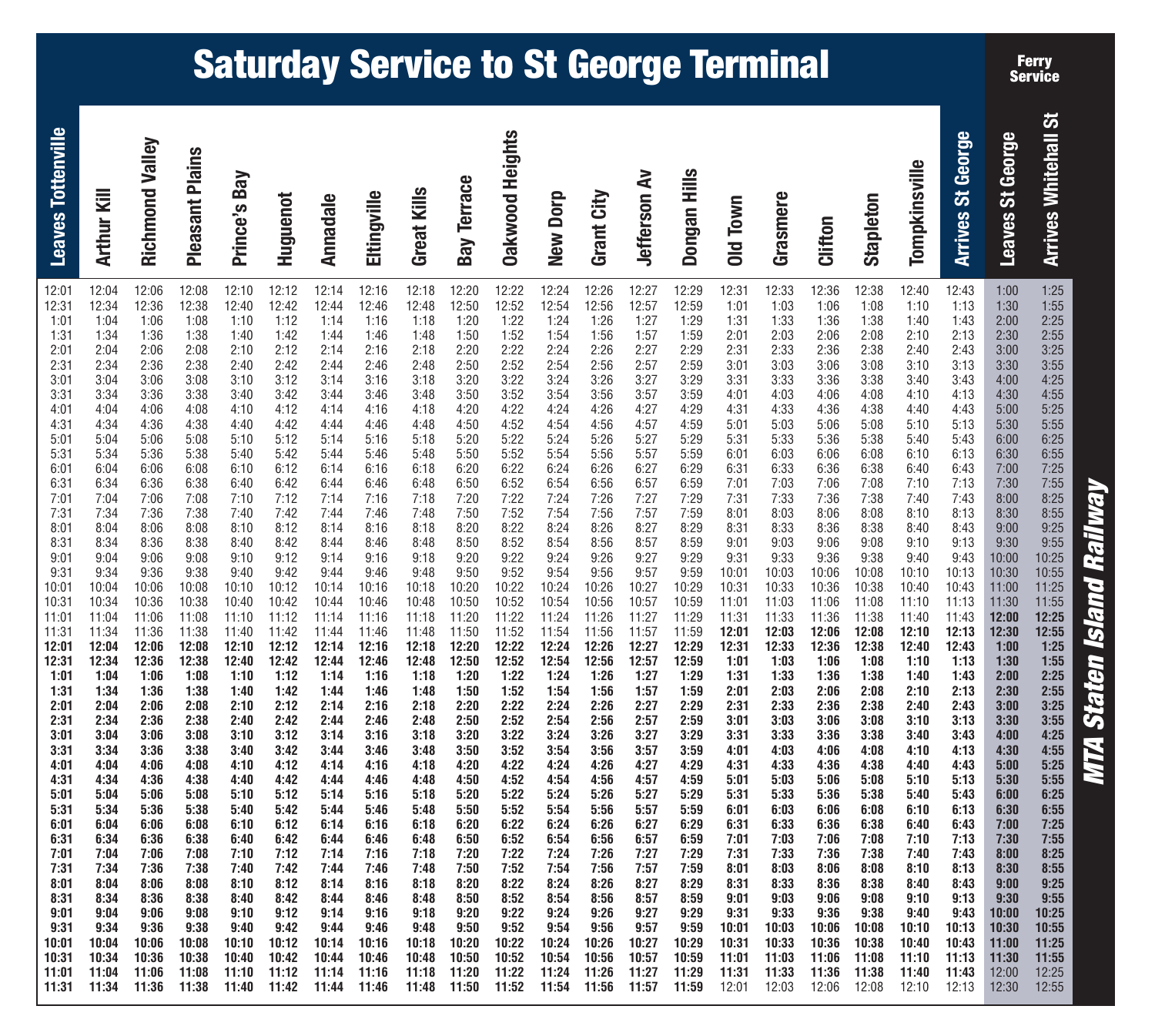# **MTA Staten Island Railway MTA Staten Island Railway**

**Ferry Service**

ぁ

| <b>Arrives Whitehall St</b><br><b>Arrives St George</b><br>Leaves St George<br>Tompkinsville | 12:43<br>1:00<br>1:25<br>1:13<br>1:10<br>1:30<br>1:55<br>1:43<br>2:25<br>1:40<br>2:00<br>2:13<br>2:10<br>2:30<br>2:55<br>3:25<br>2:40<br>2:43<br>3:00<br>3:10<br>3:13<br>3:30<br>3:55<br>4:25<br>3:40<br>3:43<br>4:00<br>4:13<br>4:55<br>4:10<br>4:30<br>5:25<br>4:40<br>4:43<br>5:00<br>5:10<br>5:13<br>5:30<br>5:55<br>6:25<br>5:40<br>5:43<br>6:00<br>6:10<br>6:13<br>6:30<br>6:55<br>7:25<br>6:40<br>6:43<br>7:00<br>7:55<br>7:10<br>7:13<br>7:30<br>8:25<br>7:40<br>7:43<br>8:00<br>8:55<br>8:10<br>8:13<br>8:30<br>9:25<br>8:40<br>8:43<br>9:00<br>9:10<br>9:55<br>9:13<br>9:30<br>9:40<br>10:25<br>9:43<br>10:00<br>10:13<br>10:55<br>10:30<br>10:43<br>11:25<br>11:00<br>11:13<br>11:30<br>11:55<br>11:43<br>12:00<br>12:25<br>12:13<br>12:30<br>12:55<br>7:25<br>12:43<br>1:00<br>1:10<br>1:13<br>1:55<br>1:30<br>2:25<br>1:43<br>1:40<br>2:00<br>2:10<br>2:13<br>2:55<br>2:30<br>3:25<br>2:43<br>2:40<br>3:00<br>3:10<br>3:13<br>3:55<br>3:30<br>4:25<br>3:40<br>3:43<br>4:00<br>4:10<br>4:13<br>4:55<br>4:30<br>5:25<br>4:40<br>4:43<br>5:00<br>5:30<br>5:55<br>5:10<br>5:13<br>6:25<br>5:40<br>5:43<br>6:00<br>6:13<br>6:55<br>6:10<br>6:30<br>7:25<br>6:40<br>6:43<br>7:00<br>7:10<br>7:13<br>7:55<br>7:30<br>8:25<br>7:40<br>7:43<br>8:00<br>8:10<br>8:13<br>8:55<br>8:30<br>9:25<br>8:43<br>9:00<br>8:40<br>9:10<br>9:13<br>9:30<br>9:55<br>10:25<br>9:40<br>9:43<br>10:00<br>10:13<br>10:30<br>10:55<br>10:43<br>11:25<br>11:00<br>11:13<br>11:30<br>11:55<br>11:40<br>11:43<br>12:00<br>12:25 |
|----------------------------------------------------------------------------------------------|----------------------------------------------------------------------------------------------------------------------------------------------------------------------------------------------------------------------------------------------------------------------------------------------------------------------------------------------------------------------------------------------------------------------------------------------------------------------------------------------------------------------------------------------------------------------------------------------------------------------------------------------------------------------------------------------------------------------------------------------------------------------------------------------------------------------------------------------------------------------------------------------------------------------------------------------------------------------------------------------------------------------------------------------------------------------------------------------------------------------------------------------------------------------------------------------------------------------------------------------------------------------------------------------------------------------------------------------------------------------------------------------------------------------------------------------------------------------------------------------------------------|
| <b>Stapleton</b>                                                                             | 12:38<br>12:40<br>1:08<br>1:38<br>2:08<br>2:38<br>3:08<br>3:38<br>4:08<br>4:38<br>5:08<br>5:38<br>6:08<br>6:38<br>7:08<br>7:38<br>8:08<br>8:38<br>9:08<br>9:38<br>10:08<br>10:10<br>10:38<br>10:40<br>11:08<br>11:10<br>11:38<br>11:40<br>12:08<br>12:10<br>12:38<br>12:40<br>1:08<br>1:38<br>2:08<br>2:38<br>3:08<br>3:38<br>4:08<br>4:38<br>5:08<br>5:38<br>6:08<br>6:38<br>7:08<br>7:38<br>8:08<br>8:38<br>9:08<br>9:38<br>10:08<br>10:10<br>10:38<br>10:40<br>11:08<br>11:10<br>11:38                                                                                                                                                                                                                                                                                                                                                                                                                                                                                                                                                                                                                                                                                                                                                                                                                                                                                                                                                                                                                      |
| Clifton                                                                                      | 12:36<br>1:06<br>1:36<br>2:06<br>2:36<br>3:06<br>3:36<br>4:06<br>4:36<br>5:06<br>5:36<br>6:06<br>6:36<br>7:06<br>7:36<br>8:06<br>8:36<br>9:06<br>9:36<br>10:06<br>10:36<br>11:06<br>11:36<br>12:06<br>12:36<br>1:06<br>1:36<br>2:06<br>2:36<br>3:06<br>3:36<br>4:06<br>4:36<br>5:06<br>5:36<br>6:06<br>6:36<br>7:06<br>7:36<br>8:06<br>8:36<br>9:06<br>9:36<br>10:06<br>10:36<br>11:06                                                                                                                                                                                                                                                                                                                                                                                                                                                                                                                                                                                                                                                                                                                                                                                                                                                                                                                                                                                                                                                                                                                         |
| Grasmere                                                                                     | 12:33<br>1:03<br>1:33<br>2:03<br>2:33<br>3:03<br>3:33<br>4:03<br>4:33<br>5:03<br>5:33<br>6:03<br>6:33<br>7:03<br>7:33<br>8:03<br>8:33<br>9:03<br>9:33<br>10:03<br>10:33<br>11:03<br>11:33<br>12:03<br>12:33<br>1:03<br>1:33<br>2:03<br>2:33<br>3:03<br>3:33<br>4:03<br>4:33<br>5:03<br>5:33<br>6:03<br>6:33<br>7:03<br>7:33<br>8:03<br>8:33<br>9:03<br>9:33<br>10:03<br>10:33<br>11:03                                                                                                                                                                                                                                                                                                                                                                                                                                                                                                                                                                                                                                                                                                                                                                                                                                                                                                                                                                                                                                                                                                                         |
| Old Town                                                                                     | 12:31<br>1:01<br>1:31<br>2:01<br>2:31<br>3:01<br>3:31<br>4:01<br>4:31<br>5:01<br>5:31<br>6:01<br>6:31<br>7:01<br>7:31<br>8:01<br>8:31<br>9:01<br>9:31<br>10:01<br>10:31<br>11:01<br>11:31<br>12:01<br>12:31<br>1:01<br>1:31<br>2:01<br>2:31<br>3:01<br>3:31<br>4:01<br>4:31<br>5:01<br>5:31<br>6:01<br>6:31<br>7:01<br>7:31<br>8:01<br>8:31<br>9:01<br>9:31<br>10:01<br>10:31<br>11:01                                                                                                                                                                                                                                                                                                                                                                                                                                                                                                                                                                                                                                                                                                                                                                                                                                                                                                                                                                                                                                                                                                                         |
| Dongan Hills                                                                                 | 12:29<br>12:59<br>1:29<br>1:59<br>2:29<br>2:59<br>3:29<br>3:59<br>4:29<br>4:59<br>5:29<br>5:59<br>6:29<br>6:59<br>7:29<br>7:59<br>8:29<br>8:59<br>9:29<br>9:59<br>10:29<br>10:59<br>11:29<br>11:59<br>12:29<br>12:59<br>1:29<br>1:59<br>2:29<br>2:59<br>3:29<br>3:59<br>4:29<br>4:59<br>5:29<br>5:59<br>6:29<br>6:59<br>7:29<br>7:59<br>8:29<br>8:59<br>9:29<br>9:59<br>10:29<br>10:59                                                                                                                                                                                                                                                                                                                                                                                                                                                                                                                                                                                                                                                                                                                                                                                                                                                                                                                                                                                                                                                                                                                         |
| <b>Jefferson Av</b>                                                                          | 12:27<br>12:57<br>1:27<br>1:57<br>2:27<br>2:57<br>3:27<br>3:57<br>4:27<br>4:57<br>5:27<br>5:57<br>6:27<br>6:57<br>7:27<br>7:57<br>8:27<br>8:57<br>9:27<br>9:57<br>10:27<br>10:57<br>11:27<br>11:57<br>12:27<br>12:57<br>1:27<br>1:57<br>2:27<br>2:57<br>3:27<br>3:57<br>4:27<br>4:57<br>5:27<br>5:57<br>6:27<br>6:57<br>7:27<br>7:57<br>8:27<br>8:57<br>9:27<br>9:57<br>10:27<br>10:57                                                                                                                                                                                                                                                                                                                                                                                                                                                                                                                                                                                                                                                                                                                                                                                                                                                                                                                                                                                                                                                                                                                         |
| Grant City                                                                                   | 12:26<br>12:56<br>1:26<br>1:56<br>2:26<br>2:56<br>3:26<br>3:56<br>4:26<br>4:56<br>5:26<br>5:56<br>6:26<br>6:56<br>7:26<br>7:56<br>8:26<br>8:56<br>9:26<br>9:56<br>10:26<br>10:56<br>11:26<br>11:56<br>12:26<br>12:56<br>1:26<br>1:56<br>2:26<br>2:56<br>3:26<br>3:56<br>4:26<br>4:56<br>5:26<br>5:56<br>6:26<br>6:56<br>7:26<br>7:56<br>8:26<br>8:56<br>9:26<br>9:56<br>10:26<br>10:56                                                                                                                                                                                                                                                                                                                                                                                                                                                                                                                                                                                                                                                                                                                                                                                                                                                                                                                                                                                                                                                                                                                         |
| New Dorp                                                                                     | 12:24<br>12:54<br>1:24<br>1:54<br>2:24<br>2:54<br>3:24<br>3:54<br>4:24<br>4:54<br>5:24<br>5:54<br>6:24<br>6:54<br>7:24<br>7:54<br>8:24<br>8:54<br>9:24<br>9:54<br>10:24<br>10:54<br>11:24<br>11:54<br>12:24<br>12:54<br>1:24<br>1:54<br>2:24<br>2:54<br>3:24<br>3:54<br>4:24<br>4:54<br>5:24<br>5:54<br>6:24<br>6:54<br>7:24<br>7:54<br>8:24<br>8:54<br>9:24<br>9:54<br>10:24<br>10:54                                                                                                                                                                                                                                                                                                                                                                                                                                                                                                                                                                                                                                                                                                                                                                                                                                                                                                                                                                                                                                                                                                                         |
| <b>Oakwood Heights</b>                                                                       | 12:22<br>12:52<br>1:22<br>1:52<br>2:22<br>2:52<br>3:22<br>3:52<br>4:22<br>4:52<br>5:22<br>5:52<br>6:22<br>6:52<br>7:22<br>7:52<br>8:22<br>8:52<br>9:22<br>9:52<br>10:22<br>10:52<br>11:22<br>11:52<br>12:22<br>12:52<br>1:22<br>1:52<br>2:22<br>2:52<br>3:22<br>3:52<br>4:22<br>4:52<br>5:22<br>5:52<br>6:22<br>6:52<br>7:22<br>7:52<br>8:22<br>8:52<br>9:22<br>9:52<br>10:22<br>10:52                                                                                                                                                                                                                                                                                                                                                                                                                                                                                                                                                                                                                                                                                                                                                                                                                                                                                                                                                                                                                                                                                                                         |
| <b>Bay Terrace</b>                                                                           | 12:20<br>12:50<br>1:20<br>1:50<br>2:20<br>2:50<br>3:20<br>3:50<br>4:20<br>4:50<br>5:20<br>5:50<br>6:20<br>6:50<br>7:20<br>7:50<br>8:20<br>8:50<br>9:20<br>9:50<br>10:20<br>10:50<br>11:20<br>11:50<br>12:20<br>12:50<br>1:20<br>1:50<br>2:20<br>2:50<br>3:20<br>3:50<br>4:20<br>4:50<br>5:20<br>5:50<br>6:20<br>6:50<br>7:20<br>7:50<br>8:20<br>8:50<br>9:20<br>9:50<br>10:20<br>10:50                                                                                                                                                                                                                                                                                                                                                                                                                                                                                                                                                                                                                                                                                                                                                                                                                                                                                                                                                                                                                                                                                                                         |
| <b>Great Kills</b>                                                                           | 12:18<br>12:48<br>1:18<br>1:48<br>2:18<br>2:48<br>3:18<br>3:48<br>4:18<br>4:48<br>5:18<br>5:48<br>6:18<br>6:48<br>7:18<br>7:48<br>8:18<br>8:48<br>9:18<br>9:48<br>10:18<br>10:48<br>11:18<br>11:48<br>12:18<br>12:48<br>1:18<br>1:48<br>2:18<br>2:48<br>3:18<br>3:48<br>4:18<br>4:48<br>5:18<br>5:48<br>6:18<br>6:48<br>7:18<br>7:48<br>8:18<br>8:48<br>9:18<br>9:48<br>10:18<br>10:48                                                                                                                                                                                                                                                                                                                                                                                                                                                                                                                                                                                                                                                                                                                                                                                                                                                                                                                                                                                                                                                                                                                         |
| Eltingville                                                                                  | 12:16<br>12:46<br>1:16<br>1:46<br>2:16<br>2:46<br>3:16<br>3:46<br>4:16<br>4:46<br>5:16<br>5:46<br>6:16<br>6:46<br>7:16<br>7:46<br>8:16<br>8:46<br>9:16<br>9:46<br>10:16<br>10:46<br>11:16<br>11:46<br>12:16<br>12:46<br>1:16<br>1:46<br>2:16<br>2:46<br>3:16<br>3:46<br>4:16<br>4:46<br>5:16<br>5:46<br>6:16<br>6:46<br>7:16<br>7:46<br>8:16<br>8:46<br>9:16<br>9:46<br>10:16<br>10:46                                                                                                                                                                                                                                                                                                                                                                                                                                                                                                                                                                                                                                                                                                                                                                                                                                                                                                                                                                                                                                                                                                                         |
| Annadale                                                                                     | 12:14<br>12:44<br>1:14<br>1:44<br>2:14<br>2:44<br>3:14<br>3:44<br>4:14<br>4:44<br>5:14<br>5:44<br>6:14<br>6:44<br>7:14<br>7:44<br>8:14<br>8:44<br>9:14<br>9:44<br>10:14<br>10:44<br>11:14<br>11:44<br>12:14<br>12:44<br>1:14<br>1:44<br>2:14<br>2:44<br>3:14<br>3:44<br>4:14<br>4:44<br>5:14<br>5:44<br>6:14<br>6:44<br>7:14<br>7:44<br>8:14<br>8:44<br>9:14<br>9:44<br>10:14<br>10:44                                                                                                                                                                                                                                                                                                                                                                                                                                                                                                                                                                                                                                                                                                                                                                                                                                                                                                                                                                                                                                                                                                                         |
| Huguenot                                                                                     | 12:12<br>12:42<br>1:12<br>1:42<br>2:12<br>2:42<br>3:12<br>3:42<br>4:12<br>4:42<br>5:12<br>5:42<br>6:12<br>6:42<br>7:12<br>7:42<br>8:12<br>8:42<br>9:12<br>9:42<br>10:12<br>10:42<br>11:12<br>11:42<br>12:12<br>12:42<br>1:12<br>1:42<br>2:12<br>2:42<br>3:12<br>3:42<br>4:12<br>4:42<br>5:12<br>5:42<br>6:12<br>6:42<br>7:12<br>7:42<br>8:12<br>8:42<br>9:12<br>9:42<br>10:12<br>10:42                                                                                                                                                                                                                                                                                                                                                                                                                                                                                                                                                                                                                                                                                                                                                                                                                                                                                                                                                                                                                                                                                                                         |
| Prince's Bay                                                                                 | 12:10<br>12:40<br>1:10<br>1:40<br>2:10<br>2:40<br>3:10<br>3:40<br>4:10<br>4:40<br>5:10<br>5:40<br>6:10<br>6:40<br>7:10<br>7:40<br>8:10<br>8:40<br>9:10<br>9:40<br>10:10<br>10:40<br>11:10<br>11:40<br>12:10<br>12:40<br>1:10<br>1:40<br>2:10<br>2:40<br>3:10<br>3:40<br>4:10<br>4:40<br>5:10<br>5:40<br>6:10<br>6:40<br>7:10<br>7:40<br>8:10<br>8:40<br>9:10<br>9:40<br>10:10<br>10:40                                                                                                                                                                                                                                                                                                                                                                                                                                                                                                                                                                                                                                                                                                                                                                                                                                                                                                                                                                                                                                                                                                                         |
| <b>Pleasant Plains</b>                                                                       | 12:08<br>12:38<br>1:08<br>1:38<br>2:08<br>2:38<br>3:08<br>3:38<br>4:08<br>4:38<br>5:08<br>5:38<br>6:08<br>6:38<br>7:08<br>7:38<br>8:08<br>8:38<br>9:08<br>9:38<br>10:08<br>10:38<br>11:08<br>11:38<br>12:08<br>12:38<br>1:08<br>1:38<br>2:08<br>2:38<br>3:08<br>3:38<br>4:08<br>4:38<br>5:08<br>5:38<br>6:08<br>6:38<br>7:08<br>7:38<br>8:08<br>8:38<br>9:08<br>9:38<br>10:08<br>10:38                                                                                                                                                                                                                                                                                                                                                                                                                                                                                                                                                                                                                                                                                                                                                                                                                                                                                                                                                                                                                                                                                                                         |
| Richmond Valley                                                                              | 12:06<br>12:36<br>1:06<br>1:36<br>2:06<br>2:36<br>3:06<br>3:36<br>4:06<br>4:36<br>5:06<br>5:36<br>6:06<br>6:36<br>7:06<br>7:36<br>8:06<br>8:36<br>9:06<br>9:36<br>10:06<br>10:36<br>11:06<br>11:36<br>12:06<br>12:36<br>1:06<br>1:36<br>2:06<br>2:36<br>3:06<br>3:36<br>4:06<br>4:36<br>5:06<br>5:36<br>6:06<br>6:36<br>7:06<br>7:36<br>8:06<br>8:36<br>9:06<br>9:36<br>10:06<br>10:36                                                                                                                                                                                                                                                                                                                                                                                                                                                                                                                                                                                                                                                                                                                                                                                                                                                                                                                                                                                                                                                                                                                         |
| Arthur Kill                                                                                  | 12:04<br>12:34<br>1:04<br>1:34<br>2:04<br>2:34<br>3:04<br>3:34<br>4:04<br>4:34<br>5:04<br>5:34<br>6:04<br>6:34<br>7:04<br>7:34<br>8:04<br>8:34<br>9:04<br>9:34<br>10:04<br>10:34<br>11:04<br>11:34<br>12:04<br>12:34<br>1:04<br>1:34<br>2:04<br>2:34<br>3:04<br>3:34<br>4:04<br>4:34<br>5:04<br>5:34<br>6:04<br>6:34<br>7:04<br>7:34<br>8:04<br>8:34<br>9:04<br>9:34<br>10:04<br>10:34                                                                                                                                                                                                                                                                                                                                                                                                                                                                                                                                                                                                                                                                                                                                                                                                                                                                                                                                                                                                                                                                                                                         |
| <b>Leaves Tottenville</b>                                                                    | 12:01<br>12:31<br>1:01<br>1:31<br>2:01<br>2:31<br>3:01<br>3:31<br>4:01<br>4:31<br>5:01<br>5:31<br>6:01<br>6:31<br>7:01<br>7:31<br>8:01<br>8:31<br>9:01<br>9:31<br>10:01<br>10:31<br>11:01<br>11:31<br>12:01<br>12:31<br>1:01<br>1:31<br>2:01<br>2:31<br>3:01<br>3:31<br>4:01<br>4:31<br>5:01<br>5:31<br>6:01<br>6:31<br>7:01<br>7:31<br>8:01<br>8:31<br>9:01<br>9:31<br>10:01<br>10:31                                                                                                                                                                                                                                                                                                                                                                                                                                                                                                                                                                                                                                                                                                                                                                                                                                                                                                                                                                                                                                                                                                                         |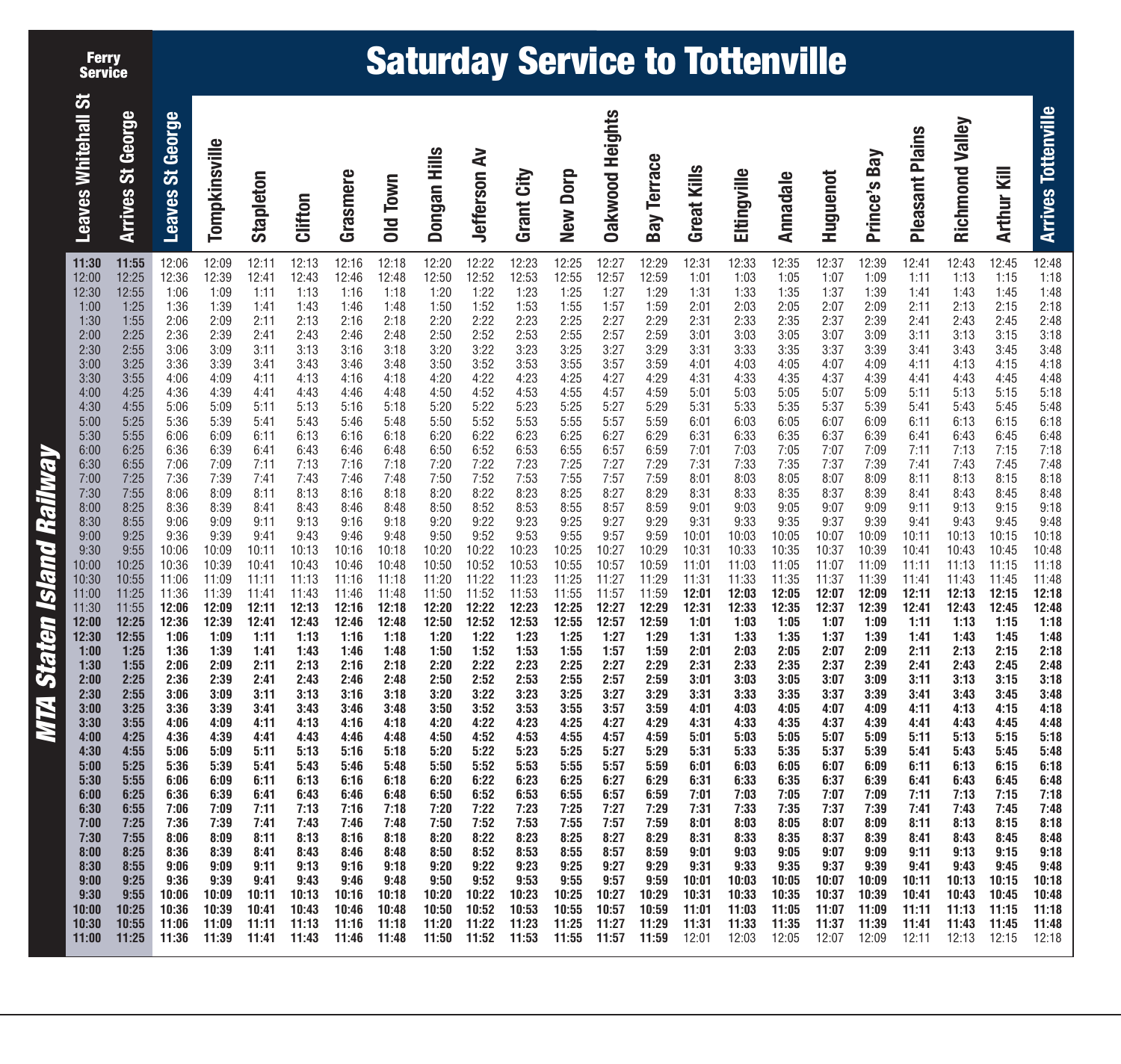**Ferry Service**

## **Saturday Service to Tottenville**

|                           | <b>Leaves Whitehall St</b>                                                                                                                                                                                                                                                                                                                                                                               | <b>Arrives St George</b>                                                                                                                                                                                                                                                                                                                                                                                 | Leaves St George                                                                                                                                                                                                                                                                                                                                                                                         | Tompkinsville                                                                                                                                                                                                                                                                                                                                                                                            | Stapleton                                                                                                                                                                                                                                                                                                                                                                                                | Clifton                                                                                                                                                                                                                                                                                                                                                                                                  | Grasmere                                                                                                                                                                                                                                                                                                                                                                                                 | Old Town                                                                                                                                                                                                                                                                                                                                                                                                 | Dongan Hills                                                                                                                                                                                                                                                                                                                                                                                             | <b>Jefferson Av</b>                                                                                                                                                                                                                                                                                                                                                                                      | Grant City                                                                                                                                                                                                                                                                                                                                                                                                                              | New Dorp                                                                                                                                                                                                                                                                                                                                                                                                 | <b>Oakwood Heights</b>                                                                                                                                                                                                                                                                                                                                                                                   | <b>Bay Terrace</b>                                                                                                                                                                                                                                                                                                                                                                                       | <b>Great Kills</b>                                                                                                                                                                                                                                                                                                                                                                                       | Eltingville                                                                                                                                                                                                                                                                                                                                                                                              | <b>Annadale</b>                                                                                                                                                                                                                                                                                                                                                                                          | Huguenot                                                                                                                                                                                                                                                                                                                                                                                                 | Prince's Bay                                                                                                                                                                                                                                                                                                                                                                                             | <b>Pleasant Plains</b>                                                                                                                                                                                                                                                                                                                                                                                   | Richmond Valley                                                                                                                                                                                                                                                                                                                                                                                          | Arthur Kill                                                                                                                                                                                                                                                                                                                                                                                              | <b>Arrives Tottenville</b>                                                                                                                                                                                                                                                                                                                                                                               |
|---------------------------|----------------------------------------------------------------------------------------------------------------------------------------------------------------------------------------------------------------------------------------------------------------------------------------------------------------------------------------------------------------------------------------------------------|----------------------------------------------------------------------------------------------------------------------------------------------------------------------------------------------------------------------------------------------------------------------------------------------------------------------------------------------------------------------------------------------------------|----------------------------------------------------------------------------------------------------------------------------------------------------------------------------------------------------------------------------------------------------------------------------------------------------------------------------------------------------------------------------------------------------------|----------------------------------------------------------------------------------------------------------------------------------------------------------------------------------------------------------------------------------------------------------------------------------------------------------------------------------------------------------------------------------------------------------|----------------------------------------------------------------------------------------------------------------------------------------------------------------------------------------------------------------------------------------------------------------------------------------------------------------------------------------------------------------------------------------------------------|----------------------------------------------------------------------------------------------------------------------------------------------------------------------------------------------------------------------------------------------------------------------------------------------------------------------------------------------------------------------------------------------------------|----------------------------------------------------------------------------------------------------------------------------------------------------------------------------------------------------------------------------------------------------------------------------------------------------------------------------------------------------------------------------------------------------------|----------------------------------------------------------------------------------------------------------------------------------------------------------------------------------------------------------------------------------------------------------------------------------------------------------------------------------------------------------------------------------------------------------|----------------------------------------------------------------------------------------------------------------------------------------------------------------------------------------------------------------------------------------------------------------------------------------------------------------------------------------------------------------------------------------------------------|----------------------------------------------------------------------------------------------------------------------------------------------------------------------------------------------------------------------------------------------------------------------------------------------------------------------------------------------------------------------------------------------------------|-----------------------------------------------------------------------------------------------------------------------------------------------------------------------------------------------------------------------------------------------------------------------------------------------------------------------------------------------------------------------------------------------------------------------------------------|----------------------------------------------------------------------------------------------------------------------------------------------------------------------------------------------------------------------------------------------------------------------------------------------------------------------------------------------------------------------------------------------------------|----------------------------------------------------------------------------------------------------------------------------------------------------------------------------------------------------------------------------------------------------------------------------------------------------------------------------------------------------------------------------------------------------------|----------------------------------------------------------------------------------------------------------------------------------------------------------------------------------------------------------------------------------------------------------------------------------------------------------------------------------------------------------------------------------------------------------|----------------------------------------------------------------------------------------------------------------------------------------------------------------------------------------------------------------------------------------------------------------------------------------------------------------------------------------------------------------------------------------------------------|----------------------------------------------------------------------------------------------------------------------------------------------------------------------------------------------------------------------------------------------------------------------------------------------------------------------------------------------------------------------------------------------------------|----------------------------------------------------------------------------------------------------------------------------------------------------------------------------------------------------------------------------------------------------------------------------------------------------------------------------------------------------------------------------------------------------------|----------------------------------------------------------------------------------------------------------------------------------------------------------------------------------------------------------------------------------------------------------------------------------------------------------------------------------------------------------------------------------------------------------|----------------------------------------------------------------------------------------------------------------------------------------------------------------------------------------------------------------------------------------------------------------------------------------------------------------------------------------------------------------------------------------------------------|----------------------------------------------------------------------------------------------------------------------------------------------------------------------------------------------------------------------------------------------------------------------------------------------------------------------------------------------------------------------------------------------------------|----------------------------------------------------------------------------------------------------------------------------------------------------------------------------------------------------------------------------------------------------------------------------------------------------------------------------------------------------------------------------------------------------------|----------------------------------------------------------------------------------------------------------------------------------------------------------------------------------------------------------------------------------------------------------------------------------------------------------------------------------------------------------------------------------------------------------|----------------------------------------------------------------------------------------------------------------------------------------------------------------------------------------------------------------------------------------------------------------------------------------------------------------------------------------------------------------------------------------------------------|
| MTA Staten Island Railway | 11:30<br>12:00<br>12:30<br>1:00<br>1:30<br>2:00<br>2:30<br>3:00<br>3:30<br>4:00<br>4:30<br>5:00<br>5:30<br>6:00<br>6:30<br>7:00<br>7:30<br>8:00<br>8:30<br>9:00<br>9:30<br>10:00<br>10:30<br>11:00<br>11:30<br>12:00<br>12:30<br>1:00<br>1:30<br>2:00<br>2:30<br>3:00<br>3:30<br>4:00<br>4:30<br>5:00<br>5:30<br>6:00<br>6:30<br>7:00<br>7:30<br>8:00<br>8:30<br>9:00<br>9:30<br>10:00<br>10:30<br>11:00 | 11:55<br>12:25<br>12:55<br>1:25<br>1:55<br>2:25<br>2:55<br>3:25<br>3:55<br>4:25<br>4:55<br>5:25<br>5:55<br>6:25<br>6:55<br>7:25<br>7:55<br>8:25<br>8:55<br>9:25<br>9:55<br>10:25<br>10:55<br>11:25<br>11:55<br>12:25<br>12:55<br>1:25<br>1:55<br>2:25<br>2:55<br>3:25<br>3:55<br>4:25<br>4:55<br>5:25<br>5:55<br>6:25<br>6:55<br>7:25<br>7:55<br>8:25<br>8:55<br>9:25<br>9:55<br>10:25<br>10:55<br>11:25 | 12:06<br>12:36<br>1:06<br>1:36<br>2:06<br>2:36<br>3:06<br>3:36<br>4:06<br>4:36<br>5:06<br>5:36<br>6:06<br>6:36<br>7:06<br>7:36<br>8:06<br>8:36<br>9:06<br>9:36<br>10:06<br>10:36<br>11:06<br>11:36<br>12:06<br>12:36<br>1:06<br>1:36<br>2:06<br>2:36<br>3:06<br>3:36<br>4:06<br>4:36<br>5:06<br>5:36<br>6:06<br>6:36<br>7:06<br>7:36<br>8:06<br>8:36<br>9:06<br>9:36<br>10:06<br>10:36<br>11:06<br>11:36 | 12:09<br>12:39<br>1:09<br>1:39<br>2:09<br>2:39<br>3:09<br>3:39<br>4:09<br>4:39<br>5:09<br>5:39<br>6:09<br>6:39<br>7:09<br>7:39<br>8:09<br>8:39<br>9:09<br>9:39<br>10:09<br>10:39<br>11:09<br>11:39<br>12:09<br>12:39<br>1:09<br>1:39<br>2:09<br>2:39<br>3:09<br>3:39<br>4:09<br>4:39<br>5:09<br>5:39<br>6:09<br>6:39<br>7:09<br>7:39<br>8:09<br>8:39<br>9:09<br>9:39<br>10:09<br>10:39<br>11:09<br>11:39 | 12:11<br>12:41<br>1:11<br>1:41<br>2:11<br>2:41<br>3:11<br>3:41<br>4:11<br>4:41<br>5:11<br>5:41<br>6:11<br>6:41<br>7:11<br>7:41<br>8:11<br>8:41<br>9:11<br>9:41<br>10:11<br>10:41<br>11:11<br>11:41<br>12:11<br>12:41<br>1:11<br>1:41<br>2:11<br>2:41<br>3:11<br>3:41<br>4:11<br>4:41<br>5:11<br>5:41<br>6:11<br>6:41<br>7:11<br>7:41<br>8:11<br>8:41<br>9:11<br>9:41<br>10:11<br>10:41<br>11:11<br>11:41 | 12:13<br>12:43<br>1:13<br>1:43<br>2:13<br>2:43<br>3:13<br>3:43<br>4:13<br>4:43<br>5:13<br>5:43<br>6:13<br>6:43<br>7:13<br>7:43<br>8:13<br>8:43<br>9:13<br>9:43<br>10:13<br>10:43<br>11:13<br>11:43<br>12:13<br>12:43<br>1:13<br>1:43<br>2:13<br>2:43<br>3:13<br>3:43<br>4:13<br>4:43<br>5:13<br>5:43<br>6:13<br>6:43<br>7:13<br>7:43<br>8:13<br>8:43<br>9:13<br>9:43<br>10:13<br>10:43<br>11:13<br>11:43 | 12:16<br>12:46<br>1:16<br>1:46<br>2:16<br>2:46<br>3:16<br>3:46<br>4:16<br>4:46<br>5:16<br>5:46<br>6:16<br>6:46<br>7:16<br>7:46<br>8:16<br>8:46<br>9:16<br>9:46<br>10:16<br>10:46<br>11:16<br>11:46<br>12:16<br>12:46<br>1:16<br>1:46<br>2:16<br>2:46<br>3:16<br>3:46<br>4:16<br>4:46<br>5:16<br>5:46<br>6:16<br>6:46<br>7:16<br>7:46<br>8:16<br>8:46<br>9:16<br>9:46<br>10:16<br>10:46<br>11:16<br>11:46 | 12:18<br>12:48<br>1:18<br>1:48<br>2:18<br>2:48<br>3:18<br>3:48<br>4:18<br>4:48<br>5:18<br>5:48<br>6:18<br>6:48<br>7:18<br>7:48<br>8:18<br>8:48<br>9:18<br>9:48<br>10:18<br>10:48<br>11:18<br>11:48<br>12:18<br>12:48<br>1:18<br>1:48<br>2:18<br>2:48<br>3:18<br>3:48<br>4:18<br>4:48<br>5:18<br>5:48<br>6:18<br>6:48<br>7:18<br>7:48<br>8:18<br>8:48<br>9:18<br>9:48<br>10:18<br>10:48<br>11:18<br>11:48 | 12:20<br>12:50<br>1:20<br>1:50<br>2:20<br>2:50<br>3:20<br>3:50<br>4:20<br>4:50<br>5:20<br>5:50<br>6:20<br>6:50<br>7:20<br>7:50<br>8:20<br>8:50<br>9:20<br>9:50<br>10:20<br>10:50<br>11:20<br>11:50<br>12:20<br>12:50<br>1:20<br>1:50<br>2:20<br>2:50<br>3:20<br>3:50<br>4:20<br>4:50<br>5:20<br>5:50<br>6:20<br>6:50<br>7:20<br>7:50<br>8:20<br>8:50<br>9:20<br>9:50<br>10:20<br>10:50<br>11:20<br>11:50 | 12:22<br>12:52<br>1:22<br>1:52<br>2:22<br>2:52<br>3:22<br>3:52<br>4:22<br>4:52<br>5:22<br>5:52<br>6:22<br>6:52<br>7:22<br>7:52<br>8:22<br>8:52<br>9:22<br>9:52<br>10:22<br>10:52<br>11:22<br>11:52<br>12:22<br>12:52<br>1:22<br>1:52<br>2:22<br>2:52<br>3:22<br>3:52<br>4:22<br>4:52<br>5:22<br>5:52<br>6:22<br>6:52<br>7:22<br>7:52<br>8:22<br>8:52<br>9:22<br>9:52<br>10:22<br>10:52<br>11:22<br>11:52 | 12:23<br>12:53<br>1:23<br>1:53<br>2:23<br>2:53<br>3:23<br>3:53<br>4:23<br>4:53<br>5:23<br>5:53<br>6:23<br>6:53<br>7:23<br>7:53<br>8:23<br>8:53<br>9:23<br>9:53<br>10:23<br>10:53<br>11:23<br>11:53<br>12:23<br>12:53<br>1:23<br>1:53<br>2:23<br>$\begin{array}{c} 2.53 \\ 3.23 \end{array}$<br>3:53<br>4:23<br>4:53<br>5:23<br>5:53<br>6:23<br>6:53<br>7:23<br>7:53<br>8:23<br>8:53<br>9:23<br>9:53<br>10:23<br>10:53<br>11:23<br>11:53 | 12:25<br>12:55<br>1:25<br>1:55<br>2:25<br>2:55<br>3:25<br>3:55<br>4:25<br>4:55<br>5:25<br>5:55<br>6:25<br>6:55<br>7:25<br>7:55<br>8:25<br>8:55<br>9:25<br>9:55<br>10:25<br>10:55<br>11:25<br>11:55<br>12:25<br>12:55<br>1:25<br>1:55<br>2:25<br>2:55<br>3:25<br>3:55<br>4:25<br>4:55<br>5:25<br>5:55<br>6:25<br>6:55<br>7:25<br>7:55<br>8:25<br>8:55<br>9:25<br>9:55<br>10:25<br>10:55<br>11:25<br>11:55 | 12:27<br>12:57<br>1:27<br>1:57<br>2:27<br>2:57<br>3:27<br>3:57<br>4:27<br>4:57<br>5:27<br>5:57<br>6:27<br>6:57<br>7:27<br>7:57<br>8:27<br>8:57<br>9:27<br>9:57<br>10:27<br>10:57<br>11:27<br>11:57<br>12:27<br>12:57<br>1:27<br>1:57<br>2:27<br>2:57<br>3:27<br>3:57<br>4:27<br>4:57<br>5:27<br>5:57<br>6:27<br>6:57<br>7:27<br>7:57<br>8:27<br>8:57<br>9:27<br>9:57<br>10:27<br>10:57<br>11:27<br>11:57 | 12:29<br>12:59<br>1:29<br>1:59<br>2:29<br>2:59<br>3:29<br>3:59<br>4:29<br>4:59<br>5:29<br>5:59<br>6:29<br>6:59<br>7:29<br>7:59<br>8:29<br>8:59<br>9:29<br>9:59<br>10:29<br>10:59<br>11:29<br>11:59<br>12:29<br>12:59<br>1:29<br>1:59<br>2:29<br>2:59<br>3:29<br>3:59<br>4:29<br>4:59<br>5:29<br>5:59<br>6:29<br>6:59<br>7:29<br>7:59<br>8:29<br>8:59<br>9:29<br>9:59<br>10:29<br>10:59<br>11:29<br>11:59 | 12:31<br>1:01<br>1:31<br>2:01<br>2:31<br>3:01<br>3:31<br>4:01<br>4:31<br>5:01<br>5:31<br>6:01<br>6:31<br>7:01<br>7:31<br>8:01<br>8:31<br>9:01<br>9:31<br>10:01<br>10:31<br>11:01<br>11:31<br>12:01<br>12:31<br>1:01<br>1:31<br>2:01<br>2:31<br>3:01<br>3:31<br>4:01<br>4:31<br>5:01<br>5:31<br>6:01<br>6:31<br>7:01<br>7:31<br>8:01<br>8:31<br>9:01<br>9:31<br>10:01<br>10:31<br>11:01<br>11:31<br>12:01 | 12:33<br>1:03<br>1:33<br>2:03<br>2:33<br>3:03<br>3:33<br>4:03<br>4:33<br>5:03<br>5:33<br>6:03<br>6:33<br>7:03<br>7:33<br>8:03<br>8:33<br>9:03<br>9:33<br>10:03<br>10:33<br>11:03<br>11:33<br>12:03<br>12:33<br>1:03<br>1:33<br>2:03<br>2:33<br>3:03<br>3:33<br>4:03<br>4:33<br>5:03<br>5:33<br>6:03<br>6:33<br>7:03<br>7:33<br>8:03<br>8:33<br>9:03<br>9:33<br>10:03<br>10:33<br>11:03<br>11:33<br>12:03 | 12:35<br>1:05<br>1:35<br>2:05<br>2:35<br>3:05<br>3:35<br>4:05<br>4:35<br>5:05<br>5:35<br>6:05<br>6:35<br>7:05<br>7:35<br>8:05<br>8:35<br>9:05<br>9:35<br>10:05<br>10:35<br>11:05<br>11:35<br>12:05<br>12:35<br>1:05<br>1:35<br>2:05<br>2:35<br>3:05<br>3:35<br>4:05<br>4:35<br>5:05<br>5:35<br>6:05<br>6:35<br>7:05<br>7:35<br>8:05<br>8:35<br>9:05<br>9:35<br>10:05<br>10:35<br>11:05<br>11:35<br>12:05 | 12:37<br>1:07<br>1:37<br>2:07<br>2:37<br>3:07<br>3:37<br>4:07<br>4:37<br>5:07<br>5:37<br>6:07<br>6:37<br>7:07<br>7:37<br>8:07<br>8:37<br>9:07<br>9:37<br>10:07<br>10:37<br>11:07<br>11:37<br>12:07<br>12:37<br>1:07<br>1:37<br>2:07<br>2:37<br>3:07<br>3:37<br>4:07<br>4:37<br>5:07<br>5:37<br>6:07<br>6:37<br>7:07<br>7:37<br>8:07<br>8:37<br>9:07<br>9:37<br>10:07<br>10:37<br>11:07<br>11:37<br>12:07 | 12:39<br>1:09<br>1:39<br>2:09<br>2:39<br>3:09<br>3:39<br>4:09<br>4:39<br>5:09<br>5:39<br>6:09<br>6:39<br>7:09<br>7:39<br>8:09<br>8:39<br>9:09<br>9:39<br>10:09<br>10:39<br>11:09<br>11:39<br>12:09<br>12:39<br>1:09<br>1:39<br>2:09<br>2:39<br>3:09<br>3:39<br>4:09<br>4:39<br>5:09<br>5:39<br>6:09<br>6:39<br>7:09<br>7:39<br>8:09<br>8:39<br>9:09<br>9:39<br>10:09<br>10:39<br>11:09<br>11:39<br>12:09 | 12:41<br>1:11<br>1:41<br>2:11<br>2:41<br>3:11<br>3:41<br>4:11<br>4:41<br>5:11<br>5:41<br>6:11<br>6:41<br>7:11<br>7:41<br>8:11<br>8:41<br>9:11<br>9:41<br>10:11<br>10:41<br>11:11<br>11:41<br>12:11<br>12:41<br>1:11<br>1:41<br>2:11<br>2:41<br>3:11<br>3:41<br>4:11<br>4:41<br>5:11<br>5:41<br>6:11<br>6:41<br>7:11<br>7:41<br>8:11<br>8:41<br>9:11<br>9:41<br>10:11<br>10:41<br>11:11<br>11:41<br>12:11 | 12:43<br>1:13<br>1:43<br>2:13<br>2:43<br>3:13<br>3:43<br>4:13<br>4:43<br>5:13<br>5:43<br>6:13<br>6:43<br>7:13<br>7:43<br>8:13<br>8:43<br>9:13<br>9:43<br>10:13<br>10:43<br>11:13<br>11:43<br>12:13<br>12:43<br>1:13<br>1:43<br>2:13<br>2:43<br>3:13<br>3:43<br>4:13<br>4:43<br>5:13<br>5:43<br>6:13<br>6:43<br>7:13<br>7:43<br>8:13<br>8:43<br>9:13<br>9:43<br>10:13<br>10:43<br>11:13<br>11:43<br>12:13 | 12:45<br>1:15<br>1:45<br>2:15<br>2:45<br>3:15<br>3:45<br>4:15<br>4:45<br>5:15<br>5:45<br>6:15<br>6:45<br>7:15<br>7:45<br>8:15<br>8:45<br>9:15<br>9:45<br>10:15<br>10:45<br>11:15<br>11:45<br>12:15<br>12:45<br>1:15<br>1:45<br>2:15<br>2:45<br>3:15<br>3:45<br>4:15<br>4:45<br>5:15<br>5:45<br>6:15<br>6:45<br>7:15<br>7:45<br>8:15<br>8:45<br>9:15<br>9:45<br>10:15<br>10:45<br>11:15<br>11:45<br>12:15 | 12:48<br>1:18<br>1:48<br>2:18<br>2:48<br>3:18<br>3:48<br>4:18<br>4:48<br>5:18<br>5:48<br>6:18<br>6:48<br>7:18<br>7:48<br>8:18<br>8:48<br>9:18<br>9:48<br>10:18<br>10:48<br>11:18<br>11:48<br>12:18<br>12:48<br>1:18<br>1:48<br>2:18<br>2:48<br>3:18<br>3:48<br>4:18<br>4:48<br>5:18<br>5:48<br>6:18<br>6:48<br>7:18<br>7:48<br>8:18<br>8:48<br>9:18<br>9:48<br>10:18<br>10:48<br>11:18<br>11:48<br>12:18 |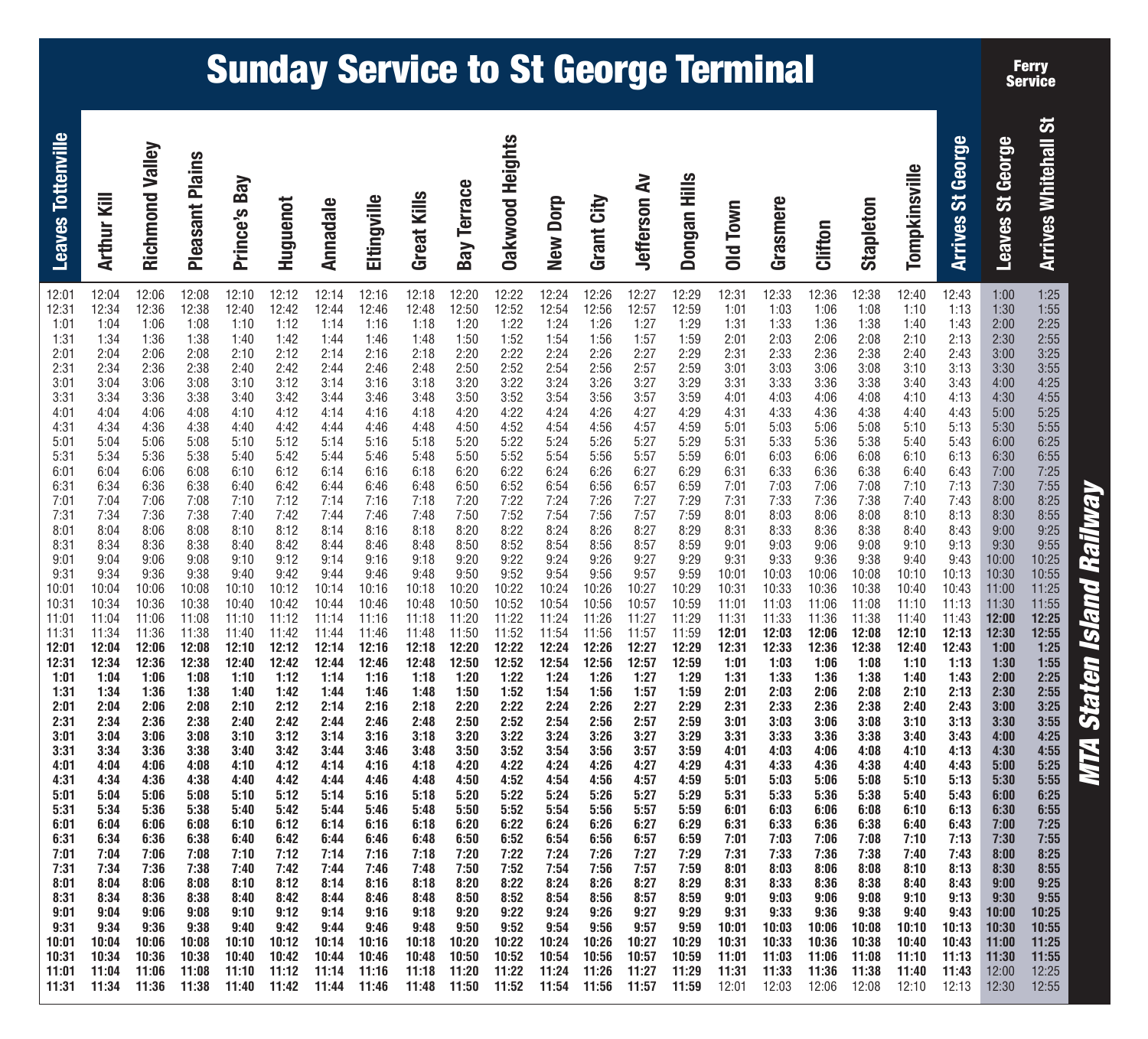# **MTA Staten Island Railway MTA Staten Island Railway**

| <b>The State is a set of the State of the State of the State of the State of the State of the State of the State of the State of the State of the State of the State of the State of the State of the State of the State of the </b>                                                          |
|-----------------------------------------------------------------------------------------------------------------------------------------------------------------------------------------------------------------------------------------------------------------------------------------------|
| 1:25<br>1:55<br>2:25<br>2:55<br>3:25<br>3:55<br>4:25<br>4:55<br>5:25<br>5:55<br>6:25<br>6:25<br>6:55<br>7:25<br>7:55<br>8:25<br>8:55<br>9:25<br>9:55<br>10:25<br>10:55<br>11:25<br>11:55<br>12:25<br>12:55<br>1:25<br>$1:55$<br>$2:25$<br>2:55<br>3:25<br>3:55<br>4:25<br>$\overline{a}$ . ma |
| 1:00<br>1:30<br>2:00<br>2:30<br>3:00<br>3:30<br>4:00<br>4:30<br>5:00<br>5:30<br>6:00<br>6:30<br>7:00<br>7:30<br>8:00<br>8:30<br>9:00<br>9:30<br>10:00<br>10:30<br>11:00<br>11:30<br>12:00<br>12:30<br>1:00<br>1:30<br>2:00<br>2:30<br>3:00<br>3:30<br>4:00                                    |
| 3<br>3<br>3<br>3<br>3<br>3<br>$\frac{3}{3}$                                                                                                                                                                                                                                                   |

**Ferry Service**

 $\overline{131}$ 

# **Sunday Service to St George Terminal**

| <b>Arrives Whitehall St</b><br><b>Arrives St George</b><br>Leaves St George | 1:25<br>1:00<br>1:13<br>1:30<br>1:55<br>1:43<br>2:25<br>2:00<br>2:13<br>2:55<br>2:30<br>2:43<br>3:25<br>3:00<br>3:55<br>3:13<br>3:30<br>3:43<br>4:25<br>4:00<br>4:13<br>4:55<br>4:30<br>5:25<br>4:43<br>5:00<br>5:55<br>5:13<br>5:30<br>6:25<br>5:43<br>6:00<br>6:55<br>6:13<br>6:30<br>7:25<br>6:43<br>7:00<br>7:55<br>7:13<br>7:30<br>8:25<br>7:43<br>8:00<br>8:55<br>8:13<br>8:30<br>9:25<br>8:43<br>9:00<br>9:13<br>9:30<br>9:55<br>9:43<br>10:25<br>10:00<br>10:30<br>10:55<br>11:00<br>11:25<br>11:30<br>11:55<br>12:25<br>12:00<br>12:55<br>12:30<br>1:25<br>1:00<br>1:55<br>1:13<br>1:30<br>2:25<br>1:43<br>2:00<br>2:55<br>2:13<br>2:30<br>3:25<br>2:43<br>3:00<br>3:55<br>3:13<br>3:30<br>4:25<br>3:43<br>4:00<br>4:55<br>4:13<br>4:30<br>5:25<br>4:43<br>5:00<br>5:55<br>5:13<br>5:30<br>6:25<br>5:43<br>6:00<br>6:55<br>6:13<br>6:30<br>7:25<br>6:43<br>7:00<br>7:55<br>7:13<br>7:30<br>8:25<br>7:43<br>8:00<br>8:55<br>8:13<br>8:30<br>9:25<br>8:43<br>9:00<br>9:13<br>9:55<br>9:30<br>10:25<br>9:43<br>10:00<br>10:55<br>10:30<br>11:25<br>11:00<br>11:30<br>11:55<br>12:25<br>12:00<br>12:55<br>12:30 |
|-----------------------------------------------------------------------------|----------------------------------------------------------------------------------------------------------------------------------------------------------------------------------------------------------------------------------------------------------------------------------------------------------------------------------------------------------------------------------------------------------------------------------------------------------------------------------------------------------------------------------------------------------------------------------------------------------------------------------------------------------------------------------------------------------------------------------------------------------------------------------------------------------------------------------------------------------------------------------------------------------------------------------------------------------------------------------------------------------------------------------------------------------------------------------------------------------------------|
| Tompkinsville                                                               | 12:40<br>12:43<br>1:10<br>1:40<br>2:10<br>2:40<br>3:10<br>3:40<br>4:10<br>4:40<br>5:10<br>5:40<br>6:10<br>6:40<br>7:10<br>7:40<br>8:10<br>8:40<br>9:10<br>9:40<br>10:10<br>10:13<br>10:40<br>10:43<br>11:10<br>11:13<br>11:40<br>11:43<br>12:13<br>12:10<br>12:43<br>12:40<br>1:10<br>1:40<br>2:10<br>2:40<br>3:10<br>3:40<br>4:10<br>4:40<br>5:10<br>5:40<br>6:10<br>6:40<br>7:10<br>7:40<br>8:10<br>8:40<br>9:10<br>9:40<br>10:10<br>10:13<br>10:40<br>10:43<br>11:10<br>11:13<br>11:40<br>11:43<br>12:10<br>12:13                                                                                                                                                                                                                                                                                                                                                                                                                                                                                                                                                                                                 |
| Stapleton                                                                   | 12:38<br>1:08<br>1:38<br>2:08<br>2:38<br>3:08<br>3:38<br>4:08<br>4:38<br>5:08<br>5:38<br>6:08<br>6:38<br>7:08<br>7:38<br>8:08<br>8:38<br>9:08<br>9:38<br>10:08<br>10:38<br>11:08<br>11:38<br>12:08<br>12:38<br>1:08<br>1:38<br>2:08<br>2:38<br>3:08<br>3:38<br>4:08<br>4:38<br>5:08<br>5:38<br>6:08<br>6:38<br>7:08<br>7:38<br>8:08<br>8:38<br>9:08<br>9:38<br>10:08<br>10:38<br>11:08<br>11:38<br>12:08                                                                                                                                                                                                                                                                                                                                                                                                                                                                                                                                                                                                                                                                                                             |
| Clifton                                                                     | 12:36<br>1:06<br>1:36<br>2:06<br>2:36<br>3:06<br>3:36<br>4:06<br>4:36<br>5:06<br>5:36<br>6:06<br>6:36<br>7:06<br>7:36<br>8:06<br>8:36<br>9:06<br>9:36<br>10:06<br>10:36<br>11:06<br>11:36<br>12:06<br>12:36<br>1:06<br>1:36<br>2:06<br>2:36<br>3:06<br>3:36<br>4:06<br>4:36<br>5:06<br>5:36<br>6:06<br>6:36<br>7:06<br>7:36<br>8:06<br>8:36<br>9:06<br>9:36<br>10:06<br>10:36<br>11:06<br>11:36<br>12:06                                                                                                                                                                                                                                                                                                                                                                                                                                                                                                                                                                                                                                                                                                             |
| Grasmere                                                                    | 12:33<br>1:03<br>1:33<br>2:03<br>2:33<br>3:03<br>3:33<br>4:03<br>4:33<br>5:03<br>5:33<br>6:03<br>6:33<br>7:03<br>7:33<br>8:03<br>8:33<br>9:03<br>9:33<br>10:03<br>10:33<br>11:03<br>11:33<br>12:03<br>12:33<br>1:03<br>1:33<br>2:03<br>2:33<br>3:03<br>3:33<br>4:03<br>4:33<br>5:03<br>5:33<br>6:03<br>6:33<br>7:03<br>7:33<br>8:03<br>8:33<br>9:03<br>9:33<br>10:03<br>10:33<br>11:03<br>11:33<br>12:03                                                                                                                                                                                                                                                                                                                                                                                                                                                                                                                                                                                                                                                                                                             |
| Old Town                                                                    | 12:31<br>1:01<br>1:31<br>2:01<br>2:31<br>3:01<br>3:31<br>4:01<br>4:31<br>5:01<br>5:31<br>6:01<br>6:31<br>7:01<br>7:31<br>8:01<br>8:31<br>9:01<br>9:31<br>10:01<br>10:31<br>11:01<br>11:31<br>12:01<br>12:31<br>1:01<br>1:31<br>2:01<br>2:31<br>3:01<br>3:31<br>4:01<br>4:31<br>5:01<br>5:31<br>6:01<br>6:31<br>7:01<br>7:31<br>8:01<br>8:31<br>9:01<br>9:31<br>10:01<br>10:31<br>11:01<br>11:31<br>12:01                                                                                                                                                                                                                                                                                                                                                                                                                                                                                                                                                                                                                                                                                                             |
| Dongan Hills                                                                | 12:29<br>12:59<br>1:29<br>1:59<br>2:29<br>2:59<br>3:29<br>3:59<br>4:29<br>4:59<br>5:29<br>5:59<br>6:29<br>6:59<br>7:29<br>7:59<br>8:29<br>8:59<br>9:29<br>9:59<br>10:29<br>10:59<br>11:29<br>11:59<br>12:29<br>12:59<br>1:29<br>1:59<br>2:29<br>2:59<br>3:29<br>3:59<br>4:29<br>4:59<br>5:29<br>5:59<br>6:29<br>6:59<br>7:29<br>7:59<br>8:29<br>8:59<br>9:29<br>9:59<br>10:29<br>10:59<br>11:29<br>11:59                                                                                                                                                                                                                                                                                                                                                                                                                                                                                                                                                                                                                                                                                                             |
| <b>Jefferson Av</b>                                                         | 12:27<br>12:57<br>1:27<br>1:57<br>2:27<br>2:57<br>3:27<br>3:57<br>4:27<br>4:57<br>5:27<br>5:57<br>6:27<br>6:57<br>7:27<br>7:57<br>8:27<br>8:57<br>9:27<br>9:57<br>10:27<br>10:57<br>11:27<br>11:57<br>12:27<br>12:57<br>1:27<br>1:57<br>2:27<br>2:57<br>3:27<br>3:57<br>4:27<br>4:57<br>5:27<br>5:57<br>6:27<br>6:57<br>7:27<br>7:57<br>8:27<br>8:57<br>9:27<br>9:57<br>10:27<br>10:57<br>11:27<br>11:57                                                                                                                                                                                                                                                                                                                                                                                                                                                                                                                                                                                                                                                                                                             |
| Grant City                                                                  | 12:26<br>12:56<br>1:26<br>1:56<br>2:26<br>2:56<br>3:26<br>3:56<br>4:26<br>4:56<br>5:26<br>5:56<br>6:26<br>6:56<br>7:26<br>7:56<br>8:26<br>8:56<br>9:26<br>9:56<br>10:26<br>10:56<br>11:26<br>11:56<br>12:26<br>12:56<br>1:26<br>1:56<br>2:26<br>2:56<br>3:26<br>3:56<br>4:26<br>4:56<br>5:26<br>5:56<br>6:26<br>6:56<br>7:26<br>7:56<br>8:26<br>8:56<br>9:26<br>9:56<br>10:26<br>10:56<br>11:26<br>11:56                                                                                                                                                                                                                                                                                                                                                                                                                                                                                                                                                                                                                                                                                                             |
| New Dorp                                                                    | 12:24<br>12:54<br>1:24<br>1:54<br>2:24<br>2:54<br>3:24<br>3:54<br>4:24<br>4:54<br>5:24<br>5:54<br>6:24<br>6:54<br>7:24<br>7:54<br>8:24<br>8:54<br>9:24<br>9:54<br>10:24<br>10:54<br>11:24<br>11:54<br>12:24<br>12:54<br>1:24<br>1:54<br>2:24<br>2:54<br>3:24<br>3:54<br>4:24<br>4:54<br>5:24<br>5:54<br>6:24<br>6:54<br>7:24<br>7:54<br>8:24<br>8:54<br>9:24<br>9:54<br>10:24<br>10:54<br>11:24<br>11:54                                                                                                                                                                                                                                                                                                                                                                                                                                                                                                                                                                                                                                                                                                             |
| <b>Dakwood Heights</b>                                                      | 12:22<br>12:52<br>1:22<br>1:52<br>2:22<br>2:52<br>3:22<br>3:52<br>4:22<br>4:52<br>5:22<br>5:52<br>6:22<br>6:52<br>7:22<br>7:52<br>8:22<br>8:52<br>9:22<br>9:52<br>10:22<br>10:52<br>11:22<br>11:52<br>12:22<br>12:52<br>1:22<br>1:52<br>2:22<br>2:52<br>3:22<br>3:52<br>4:22<br>4:52<br>5:22<br>5:52<br>6:22<br>6:52<br>7:22<br>7:52<br>8:22<br>8:52<br>9:22<br>9:52<br>10:22<br>10:52<br>11:22<br>11:52                                                                                                                                                                                                                                                                                                                                                                                                                                                                                                                                                                                                                                                                                                             |
| <b>Bay Terrace</b>                                                          | 12:20<br>12:50<br>1:20<br>1:50<br>2:20<br>2:50<br>3:20<br>3:50<br>4:20<br>4:50<br>5:20<br>5:50<br>6:20<br>6:50<br>7:20<br>7:50<br>8:20<br>8:50<br>9:20<br>9:50<br>10:20<br>10:50<br>11:20<br>11:50<br>12:20<br>12:50<br>1:20<br>1:50<br>2:20<br>2:50<br>3:20<br>3:50<br>4:20<br>4:50<br>5:20<br>5:50<br>6:20<br>6:50<br>7:20<br>7:50<br>8:20<br>8:50<br>9:20<br>9:50<br>10:20<br>10:50<br>11:20<br>11:50                                                                                                                                                                                                                                                                                                                                                                                                                                                                                                                                                                                                                                                                                                             |
| Great Kills                                                                 | 12:18<br>12:48<br>1:18<br>1:48<br>2:18<br>2:48<br>3:18<br>3:48<br>4:18<br>4:48<br>5:18<br>5:48<br>6:18<br>6:48<br>7:18<br>7:48<br>8:18<br>8:48<br>9:18<br>9:48<br>10:18<br>10:48<br>11:18<br>11:48<br>12:18<br>12:48<br>1:18<br>1:48<br>2:18<br>2:48<br>3:18<br>3:48<br>4:18<br>4:48<br>5:18<br>5:48<br>6:18<br>6:48<br>7:18<br>7:48<br>8:18<br>8:48<br>9:18<br>9:48<br>10:18<br>10:48<br>11:18<br>11:48                                                                                                                                                                                                                                                                                                                                                                                                                                                                                                                                                                                                                                                                                                             |
| Eltingville                                                                 | 12:16<br>12:46<br>1:16<br>1:46<br>2:16<br>2:46<br>3:16<br>3:46<br>4:16<br>4:46<br>5:16<br>5:46<br>6:16<br>6:46<br>7:16<br>7:46<br>8:16<br>8:46<br>9:16<br>9:46<br>10:16<br>10:46<br>11:16<br>11:46<br>12:16<br>12:46<br>1:16<br>1:46<br>2:16<br>2:46<br>3:16<br>3:46<br>4:16<br>4:46<br>5:16<br>5:46<br>6:16<br>6:46<br>7:16<br>7:46<br>8:16<br>8:46<br>9:16<br>9:46<br>10:16<br>10:46<br>11:16<br>11:46                                                                                                                                                                                                                                                                                                                                                                                                                                                                                                                                                                                                                                                                                                             |
| Annadale                                                                    | 12:14<br>12:44<br>1:14<br>1:44<br>2:14<br>2:44<br>3:14<br>3:44<br>4:14<br>4:44<br>5:14<br>5:44<br>6:14<br>6:44<br>7:14<br>7:44<br>8:14<br>8:44<br>9:14<br>9:44<br>10:14<br>10:44<br>11:14<br>11:44<br>12:14<br>12:44<br>1:14<br>1:44<br>2:14<br>2:44<br>3:14<br>3:44<br>4:14<br>4:44<br>5:14<br>5:44<br>6:14<br>6:44<br>7:14<br>7:44<br>8:14<br>8:44<br>9:14<br>9:44<br>10:14<br>10:44<br>11:14<br>11:44                                                                                                                                                                                                                                                                                                                                                                                                                                                                                                                                                                                                                                                                                                             |
| Huguenot                                                                    | 12:12<br>12:42<br>1:12<br>1:42<br>2:12<br>2:42<br>3:12<br>3:42<br>4:12<br>4:42<br>5:12<br>5:42<br>6:12<br>6:42<br>7:12<br>7:42<br>8:12<br>8:42<br>9:12<br>9:42<br>10:12<br>10:42<br>11:12<br>11:42<br>12:12<br>12:42<br>1:12<br>1:42<br>2:12<br>2:42<br>3:12<br>3:42<br>4:12<br>4:42<br>5:12<br>5:42<br>6:12<br>6:42<br>7:12<br>7:42<br>8:12<br>8:42<br>9:12<br>9:42<br>10:12<br>10:42<br>11:12<br>11:42                                                                                                                                                                                                                                                                                                                                                                                                                                                                                                                                                                                                                                                                                                             |
| Prince's Bay                                                                | 12:10<br>12:40<br>1:10<br>1:40<br>2:10<br>2:40<br>3:10<br>3:40<br>4:10<br>4:40<br>5:10<br>5:40<br>6:10<br>6:40<br>7:10<br>7:40<br>8:10<br>8:40<br>9:10<br>9:40<br>10:10<br>10:40<br>11:10<br>11:40<br>12:10<br>12:40<br>1:10<br>1:40<br>2:10<br>2:40<br>3:10<br>3:40<br>4:10<br>4:40<br>5:10<br>5:40<br>6:10<br>6:40<br>7:10<br>7:40<br>8:10<br>8:40<br>9:10<br>9:40<br>10:10<br>10:40<br>11:10<br>11:40                                                                                                                                                                                                                                                                                                                                                                                                                                                                                                                                                                                                                                                                                                             |
| <b>Pleasant Plains</b>                                                      | 12:08<br>12:38<br>1:08<br>1:38<br>2:08<br>2:38<br>3:08<br>3:38<br>4:08<br>4:38<br>5:08<br>5:38<br>6:08<br>6:38<br>7:08<br>7:38<br>8:08<br>8:38<br>9:08<br>9:38<br>10:08<br>10:38<br>11:08<br>11:38<br>12:08<br>12:38<br>1:08<br>1:38<br>2:08<br>2:38<br>3:08<br>3:38<br>4:08<br>4:38<br>5:08<br>5:38<br>6:08<br>6:38<br>7:08<br>7:38<br>8:08<br>8:38<br>9:08<br>9:38<br>10:08<br>10:38<br>11:08<br>11:38                                                                                                                                                                                                                                                                                                                                                                                                                                                                                                                                                                                                                                                                                                             |
| Richmond Valley                                                             | 12:06<br>12:36<br>1:06<br>1:36<br>2:06<br>2:36<br>3:06<br>3:36<br>4:06<br>4:36<br>5:06<br>5:36<br>6:06<br>6:36<br>7:06<br>7:36<br>8:06<br>8:36<br>9:06<br>9:36<br>10:06<br>10:36<br>11:06<br>11:36<br>12:06<br>12:36<br>1:06<br>1:36<br>2:06<br>2:36<br>3:06<br>3:36<br>4:06<br>4:36<br>5:06<br>5:36<br>6:06<br>6:36<br>7:06<br>7:36<br>8:06<br>8:36<br>9:06<br>9:36<br>10:06<br>10:36<br>11:06<br>11:36                                                                                                                                                                                                                                                                                                                                                                                                                                                                                                                                                                                                                                                                                                             |
| <b>Arthur Kill</b>                                                          | 12:04<br>12:34<br>1:04<br>1:34<br>2:04<br>2:34<br>3:04<br>3:34<br>4:04<br>4:34<br>5:04<br>5:34<br>6:04<br>6:34<br>7:04<br>7:34<br>8:04<br>8:34<br>9:04<br>9:34<br>10:04<br>10:34<br>11:04<br>11:34<br>12:04<br>12:34<br>1:04<br>1:34<br>2:04<br>2:34<br>3:04<br>3:34<br>4:04<br>4:34<br>5:04<br>5:34<br>6:04<br>6:34<br>7:04<br>7:34<br>8:04<br>8:34<br>9:04<br>9:34<br>10:04<br>10:34<br>11:04<br>11:34                                                                                                                                                                                                                                                                                                                                                                                                                                                                                                                                                                                                                                                                                                             |
| <b>Leaves Tottenville</b>                                                   | 12:01<br>12:31<br>1:01<br>1:31<br>2:01<br>2:31<br>3:01<br>3:31<br>4:01<br>4:31<br>5:01<br>5:31<br>6:01<br>6:31<br>7:01<br>7:31<br>8:01<br>8:31<br>9:01<br>9:31<br>10:01<br>10:31<br>11:01<br>11:31<br>12:01<br>12:31<br>1:01<br>1:31<br>2:01<br>2:31<br>3:01<br>3:31<br>4:01<br>4:31<br>5:01<br>5:31<br>6:01<br>6:31<br>7:01<br>7:31<br>8:01<br>8:31<br>9:01<br>9:31<br>10:01<br>10:31<br>11:01<br>11:31                                                                                                                                                                                                                                                                                                                                                                                                                                                                                                                                                                                                                                                                                                             |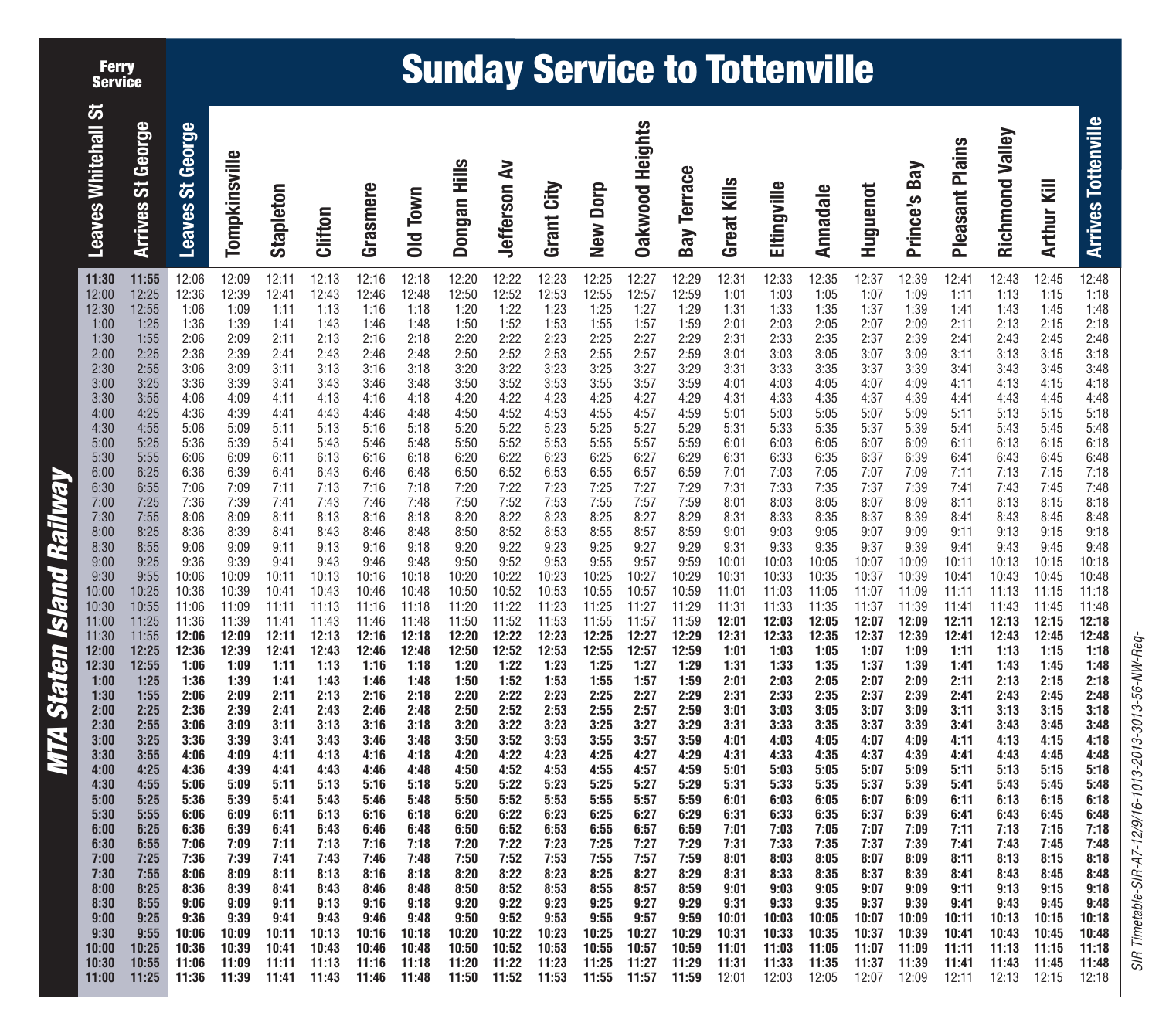**Ferry Service**

## **Sunday Service to Tottenville**

| MTA Staten Island Railway                                                                                                                                                                                                                                                                                                                                                                                                |                            |
|--------------------------------------------------------------------------------------------------------------------------------------------------------------------------------------------------------------------------------------------------------------------------------------------------------------------------------------------------------------------------------------------------------------------------|----------------------------|
| 11:30<br>12:00<br>12:30<br>1:00<br>1:30<br>2:00<br>2:30<br>3:00<br>3:30<br>4:00<br>4:30<br>5:00<br>5:30<br>6:00<br>6:30<br>7:00<br>7:30<br>8:00<br>8:30<br>9:00<br>$9:30$<br>$10:00$<br>10:30<br>11:00<br>11:30<br>12:00<br>12:30<br>1:00<br>1:30<br>2:00<br>2:30<br>3:00<br>3:30<br>4:00<br>4:30<br>5:00<br>5:30<br>6:00<br>6:30<br>7:00<br>7:30<br>8:00<br>8:30<br>9:00<br>9:30<br>10:00<br>10:30<br>11:00             | <b>Leaves Whitehall St</b> |
| 11:55<br>12:25<br>12:55<br>1:25<br>1:55<br>2:25<br>2:55<br>3:25<br>3:55<br>4:25<br>4:55<br>5:25<br>5:55<br>6:25<br>6:55<br>7:25<br>7:55<br>8:25<br>8:55<br>9:25<br>9:55<br>10:25<br>10:55<br>11:25<br>11:55<br>12:25<br>12:55<br>1:25<br>1:55<br>2:25<br>2:55<br>3:25<br>3:55<br>4:25<br>4:55<br>5:25<br>5:55<br>6:25<br>6:55<br>7:25<br>7:55<br>8:25<br>8:55<br>9:25<br>9:55<br>10:25<br>10:55<br>11:25                 | Arrives St George          |
| 12:06<br>12:36<br>1:06<br>1:36<br>2:06<br>2:36<br>3:06<br>3:36<br>4:06<br>4:36<br>5:06<br>5:36<br>6:06<br>6:36<br>7:06<br>7:36<br>8:06<br>8:36<br>9:06<br>9:36<br>10:06<br>10:36<br>11:06<br>11:36<br>12:06<br>12:36<br>1:06<br>1:36<br>2:06<br>2:36<br>3:06<br>3:36<br>4:06<br>4:36<br>5:06<br>5:36<br>6:06<br>6:36<br>7:06<br>7:36<br>8:06<br>8:36<br>9:06<br>9:36<br>10:06<br>10:36<br>11:06<br>11:36                 | <b>Leaves St George</b>    |
| 12:09<br>12:39<br>1:09<br>1:39<br>2:09<br>2:39<br>3:09<br>3:39<br>4:09<br>4:39<br>5:09<br>5:39<br>6:09<br>6:39<br>7:09<br>7:39<br>8:09<br>8:39<br>9:09<br>9:39<br>10:09<br>10:39<br>11:09<br>11:39<br>12:09<br>12:39<br>1:09<br>1:39<br>2:09<br>2:39<br>3:09<br>3:39<br>4:09<br>4:39<br>5:09<br>5:39<br>6:09<br>6:39<br>7:09<br>7:39<br>8:09<br>8:39<br>9:09<br>9:39<br>10:09<br>10:39<br>11:09<br>11:39                 | Tompkinsville              |
| 12:11<br>12:41<br>$-1:11$<br>1:41<br>2:11<br>2:41<br>3:11<br>3:41<br>4:11<br>4:41<br>5:11<br>5:41<br>6:11<br>6:41<br>7:11<br>7:41<br>8:11<br>8:41<br>9:11<br>9:41<br>10:11<br>10:41<br>11:11<br>11:41<br>12:11<br>12:41<br>1:11<br>1:41<br>2:11<br>2:41<br>3:11<br>3:41<br>4:11<br>4:41<br>5:11<br>5:41<br>6:11<br>6:41<br>7:11<br>7:41<br>8:11<br>8:41<br>9:11<br>9:41<br>10:11<br>10:41<br>11:11<br>11:41              | <b>Stapleton</b>           |
| 12:13<br>12:43<br>$-1:13$<br>1:43<br>2:13<br>2:43<br>3:13<br>3:43<br>4:13<br>4:43<br>5:13<br>5:43<br>6:13<br>6:43<br>7:13<br>7:43<br>8:13<br>8:43<br>9:13<br>9:43<br>10:13<br>10:43<br>11:13<br>11:43<br>12:13<br>12:43<br>1:13<br>1:43<br>2:13<br>2:43<br>3:13<br>3:43<br>4:13<br>4:43<br>5:13<br>5:43<br>6:13<br>6:43<br>7:13<br>7:43<br>8:13<br>8:43<br>9:13<br>9:43<br>10:13<br>10:43<br>11:13<br>11:43              | Clifton                    |
| 12:16<br>12:46<br>1:16<br>1:46<br>2:16<br>2:46<br>3:16<br>3:46<br>4:16<br>4:46<br>5:16<br>5:46<br>6:16<br>6:46<br>7:16<br>7:46<br>8:16<br>8:46<br>9:16<br>9:46<br>10:16<br>10:46<br>11:16<br>11:46<br>12:16<br>12:46<br>1:16<br>1:46<br>2:16<br>2:46<br>3:16<br>3:46<br>4:16<br>4:46<br>5:16<br>5:46<br>6:16<br>6:46<br>7:16<br>7:46<br>8:16<br>8:46<br>9:16<br>9:46<br>10:16<br>10:46<br>11:16<br>11:46                 | Grasmere                   |
| 12:18<br>12:48<br>1:18<br>1:48<br>2:18<br>2:48<br>3:18<br>3:48<br>4:18<br>4:48<br>5:18<br>5:48<br>6:18<br>6:48<br>7:18<br>7:48<br>8:18<br>8:48<br>9:18<br>9:48<br>10:18<br>10:48<br>11:18<br>11:48<br>12:18<br>12:48<br>1:18<br>1:48<br>2:18<br>2:48<br>3:18<br>3:48<br>4:18<br>4:48<br>5:18<br>5:48<br>6:18<br>6:48<br>7:18<br>7:48<br>8:18<br>8:48<br>9:18<br>9:48<br>10:18<br>10:48<br>11:18<br>11:48                 | Old Town                   |
| 12:20<br>12:50<br>1:20<br>1:50<br>2:20<br>2:50<br>3:20<br>3:50<br>4:20<br>4:50<br>5:20<br>5:50<br>6:20<br>6:50<br>7:20<br>7:50<br>8:20<br>8:50<br>9:20<br>9:50<br>10:20<br>10:50<br>11:20<br>11:50<br>12:20<br>12:50<br>1:20<br>1:50<br>2:20<br>2:50<br>3:20<br>3:50<br>4:20<br>4:50<br>5:20<br>5:50<br>6:20<br>6:50<br>7:20<br>7:50<br>8:20<br>8:50<br>9:20<br>9:50<br>10:20<br>10:50<br>11:20<br>11:50                 | Dongan Hills               |
| 12:22<br>12:52<br>7:22<br>1:52<br>2:22<br>2:52<br>3:22<br>3:52<br>4:22<br>4:52<br>5:22<br>$5:52$<br>$6:22$<br>$6:52$<br>$7:22$<br>$7:52$<br>$8:22$<br>$8:52$<br>9:22<br>9:52<br>10:22<br>10:52<br>11:22<br>11:52<br>12:22<br>12:52<br>1:22<br>1:52<br>2:22<br>2:52<br>3:22<br>3:52<br>4:22<br>4:52<br>5:22<br>5:52<br>6:22<br>6:52<br>7:22<br>7:52<br>8:22<br>8:52<br>9:22<br>9:52<br>10:22<br>10:52<br>11:22<br>11:52   | <b>Jefferson Av</b>        |
| 12:23<br>$12:53$<br>$1:23$<br>1:53<br>2:23<br>2:53<br>3:23<br>$3:53$<br>$4:23$<br>4:53<br>5:23<br>5:53<br>6:23<br>$6:53$<br>$7:23$<br>7:53<br>8:23<br>$8:53$<br>$9:23$<br>9:53<br>10:23<br>10:53<br>11:23<br>11:53<br>12:23<br>12:53<br>1:23<br>1:53<br>2:23<br>2:53<br>3:23<br>3:53<br>4:23<br>4:53<br>5:23<br>5:53<br>6:23<br>6:53<br>7:23<br>7:53<br>8:23<br>8:53<br>9:23<br>9:53<br>10:23<br>10:53<br>11:23<br>11:53 | Grant City                 |
| 12:25<br>12:55<br>1:25<br>1:55<br>2:25<br>2:55<br>3:25<br>3:55<br>4:25<br>4:55<br>5:25<br>5:55<br>6:25<br>6:55<br>7:25<br>7:55<br>8:25<br>8:55<br>9:25<br>9:55<br>10:25<br>10:55<br>11:25<br>11:55<br>12:25<br>12:55<br>1:25<br>1:55<br>2:25<br>2:55<br>3:25<br>3:55<br>4:25<br>4:55<br>5:25<br>5:55<br>6:25<br>6:55<br>7:25<br>7:55<br>8:25<br>8:55<br>9:25<br>9:55<br>10:25<br>10:55<br>11:25<br>11:55                 | New Dorp                   |
| 12:27<br>$12:57$<br>$1:27$<br>1:57<br>2:27<br>2:57<br>3:27<br>3:57<br>4:27<br>$4:57$<br>$5:27$<br>5:57<br>6:27<br>$6:57$<br>7:27<br>7:57<br>8:27<br>8:57<br>9:27<br>9:57<br>10:27<br>10:57<br>11:27<br>11:57<br>12:27<br>12:57<br>1:27<br>1:57<br>2:27<br>2:57<br>3:27<br>3:57<br>4:27<br>4:57<br>5:27<br>5:57<br>6:27<br>6:57<br>7:27<br>7:57<br>8:27<br>8:57<br>9:27<br>9:57<br>10:27<br>10:57<br>11:27<br>11:57       | <b>Dakwood Heights</b>     |
| 12:29<br>12:59<br>1:29<br>1:59<br>2:29<br>2:59<br>3:29<br>3:59<br>4:29<br>4:59<br>5:29<br>5:59<br>6:29<br>6:59<br>7:29<br>7:59<br>8:29<br>8:59<br>$9:29$<br>$9:59$<br>10:29<br>10:59<br>11:29<br>11:59<br>12:29<br>12:59<br>1:29<br>1:59<br>2:29<br>2:59<br>3:29<br>3:59<br>4:29<br>4:59<br>5:29<br>5:59<br>6:29<br>6:59<br>7:29<br>7:59<br>8:29<br>8:59<br>9:29<br>9:59<br>10:29<br>10:59<br>11:29<br>11:59             | <b>Bay Terrace</b>         |
| 12:31<br>1:01<br>1:31<br>2:01<br>2:31<br>3:01<br>3:31<br>4:01<br>4:31<br>5:01<br>5:31<br>6:01<br>6:31<br>7:01<br>7:31<br>8:01<br>8:31<br>9:01<br>9:31<br>10:01<br>10:31<br>11:01<br>11:31<br>12:01<br>12:31<br>1:01<br>1:31<br>2:01<br>2:31<br>3:01<br>3:31<br>4:01<br>4:31<br>5:01<br>5:31<br>6:01<br>6:31<br>7:01<br>7:31<br>8:01<br>8:31<br>9:01<br>9:31<br>10:01<br>10:31<br>11:01<br>11:31<br>12:01                 | <b>Great Kills</b>         |
| 12:33<br>$1:03$<br>$1:33$<br>2:03<br>2:33<br>3:03<br>3:33<br>4:03<br>4:33<br>5:03<br>5:33<br>6:03<br>6:33<br>7:03<br>7:33<br>8:03<br>8:33<br>9:03<br>9:33<br>10:03<br>10:33<br>11:03<br>11:33<br>12:03<br>12:33<br>1:03<br>1:33<br>2:03<br>2:33<br>3:03<br>3:33<br>4:03<br>4:33<br>5:03<br>5:33<br>6:03<br>6:33<br>7:03<br>7:33<br>8:03<br>8:33<br>9:03<br>9:33<br>10:03<br>10:33<br>11:03<br>11:33<br>12:03             | Eltingville                |
| 12:35<br>$1:05$<br>$1:35$<br>2:05<br>2:35<br>$3:05$<br>$3:35$<br>4:05<br>4:35<br>5:05<br>5:35<br>6:05<br>6:35<br>7:05<br>7:35<br>8:05<br>8:35<br>9:05<br>9:35<br>10:05<br>10:35<br>11:05<br>11:35<br>12:05<br>12:35<br>1:05<br>1:35<br>2:05<br>2:35<br>3:05<br>3:35<br>4:05<br>4:35<br>5:05<br>5:35<br>6:05<br>6:35<br>7:05<br>7:35<br>8:05<br>8:35<br>9:05<br>9:35<br>10:05<br>10:35<br>11:05<br>11:35<br>12:05         | <b>Annadale</b>            |
| 12:37<br>$1:07$<br>$1:37$<br>2:07<br>2:37<br>3:07<br>3:37<br>4:07<br>4:37<br>5:07<br>5:37<br>6:07<br>6:37<br>7:07<br>7:37<br>8:07<br>8:37<br>9:07<br>9:37<br>10:07<br>10:37<br>11:07<br>11:37<br>12:07<br>12:37<br>1:07<br>1:37<br>2:07<br>2:37<br>3:07<br>3:37<br>4:07<br>4:37<br>5:07<br>5:37<br>6:07<br>6:37<br>7:07<br>7:37<br>8:07<br>8:37<br>9:07<br>9:37<br>10:07<br>10:37<br>11:07<br>11:37<br>12:07             | Huguenot                   |
| 12:39<br>1:09<br>1:39<br>2:09<br>2:39<br>3:09<br>3:39<br>4:09<br>4:39<br>5:09<br>5:39<br>6:09<br>6:39<br>7:09<br>7:39<br>8:09<br>8:39<br>9:09<br>9:39<br>10:09<br>10:39<br>11:09<br>11:39<br>12:09<br>12:39<br>1:09<br>1:39<br>2:09<br>2:39<br>3:09<br>3:39<br>4:09<br>4:39<br>5:09<br>5:39<br>6:09<br>6:39<br>7:09<br>7:39<br>8:09<br>8:39<br>9:09<br>9:39<br>10:09<br>10:39<br>11:09<br>11:39<br>12:09                 | Prince's Bay               |
| 12:41<br>1:11<br>1:41<br>2:11<br>2:41<br>3:11<br>3:41<br>4:11<br>4:41<br>5:11<br>5:41<br>6:11<br>6:41<br>7:11<br>7:41<br>8:11<br>8:41<br>9:11<br>9:41<br>10:11<br>10:41<br>11:11<br>11:41<br>12:11<br>12:41<br>1:11<br>1:41<br>2:11<br>2:41<br>3:11<br>3:41<br>4:11<br>4:41<br>5:11<br>5:41<br>6:11<br>6:41<br>7:11<br>7:41<br>8:11<br>8:41<br>9:11<br>9:41<br>10:11<br>10:41<br>11:11<br>11:41<br>12:11                 | <b>Pleasant Plains</b>     |
| 12:43<br>1:13<br>1:43<br>2:13<br>2:43<br>3:13<br>3:43<br>4:13<br>4:43<br>5:13<br>5:43<br>6:13<br>6:43<br>7:13<br>7:43<br>8:13<br>8:43<br>9:13<br>9:43<br>10:13<br>10:43<br>11:13<br>11:43<br>12:13<br>12:43<br>1:13<br>1:43<br>2:13<br>2:43<br>3:13<br>3:43<br>4:13<br>4:43<br>5:13<br>5:43<br>6:13<br>6:43<br>7:13<br>7:43<br>8:13<br>8:43<br>9:13<br>9:43<br>10:13<br>10:43<br>11:13<br>11:43<br>12:13                 | <b>Richmond Valley</b>     |
| 12:45<br>1:15<br>1:45<br>2:15<br>2:45<br>3:15<br>3:45<br>4:15<br>4:45<br>5:15<br>5:45<br>6:15<br>6:45<br>7:15<br>7:45<br>8:15<br>8:45<br>9:15<br>9:45<br>10:15<br>10:45<br>11:15<br>11:45<br>12:15<br>12:45<br>1:15<br>1:45<br>2:15<br>2:45<br>3:15<br>3:45<br>4:15<br>4:45<br>5:15<br>5:45<br>6:15<br>6:45<br>7:15<br>7:45<br>8:15<br>8:45<br>9:15<br>9:45<br>10:15<br>10:45<br>11:15<br>11:45<br>12:15                 | Arthur Kill                |
| 12:48<br>1:18<br>1:48<br>2:18<br>2:48<br>3:18<br>3:48<br>4:18<br>4:48<br>5:18<br>5:48<br>6:18<br>6:48<br>7:18<br>7:48<br>8:18<br>8:48<br>9:18<br>9:48<br>10:18<br>10:48<br>11:18<br>11:48<br>12:18<br>12:48<br>1:18<br>1:48<br>2:18<br>2:48<br>3:18<br>3:48<br>4:18<br>4:48<br>5:18<br>5:48<br>6:18<br>6:48<br>7:18<br>7:48<br>8:18<br>8:48<br>9:18<br>9:48<br>10:18<br>10:48<br>11:18<br>11:48<br>12:18                 | <b>Arrives Tottenville</b> |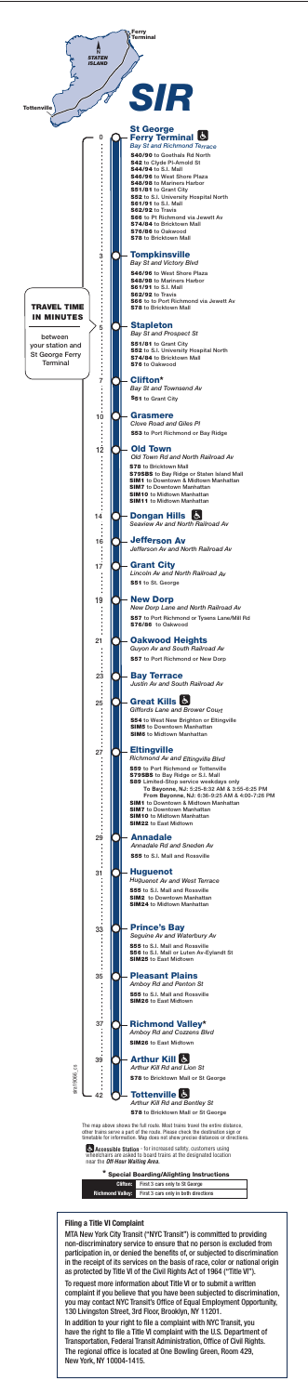

The map above shows the full route. Most trains travel the entire distance, other trains serve a part of the route. Please check the destination sign or timetable for information. Map does not show precise distances or directions.

|                         | * Special Boarding/Alighting Instructions |  |  |  |  |  |  |  |  |  |
|-------------------------|-------------------------------------------|--|--|--|--|--|--|--|--|--|
| <b>Clifton:</b>         | First 3 cars only to St George            |  |  |  |  |  |  |  |  |  |
| <b>Richmond Valley:</b> | First 3 cars only in both directions      |  |  |  |  |  |  |  |  |  |

**Accessible Station** - for increased safety, customers using wheelchairs are asked to board trains at the designated location near the *Off-Hour Waiting Area.*

 $\overline{\phantom{a}}$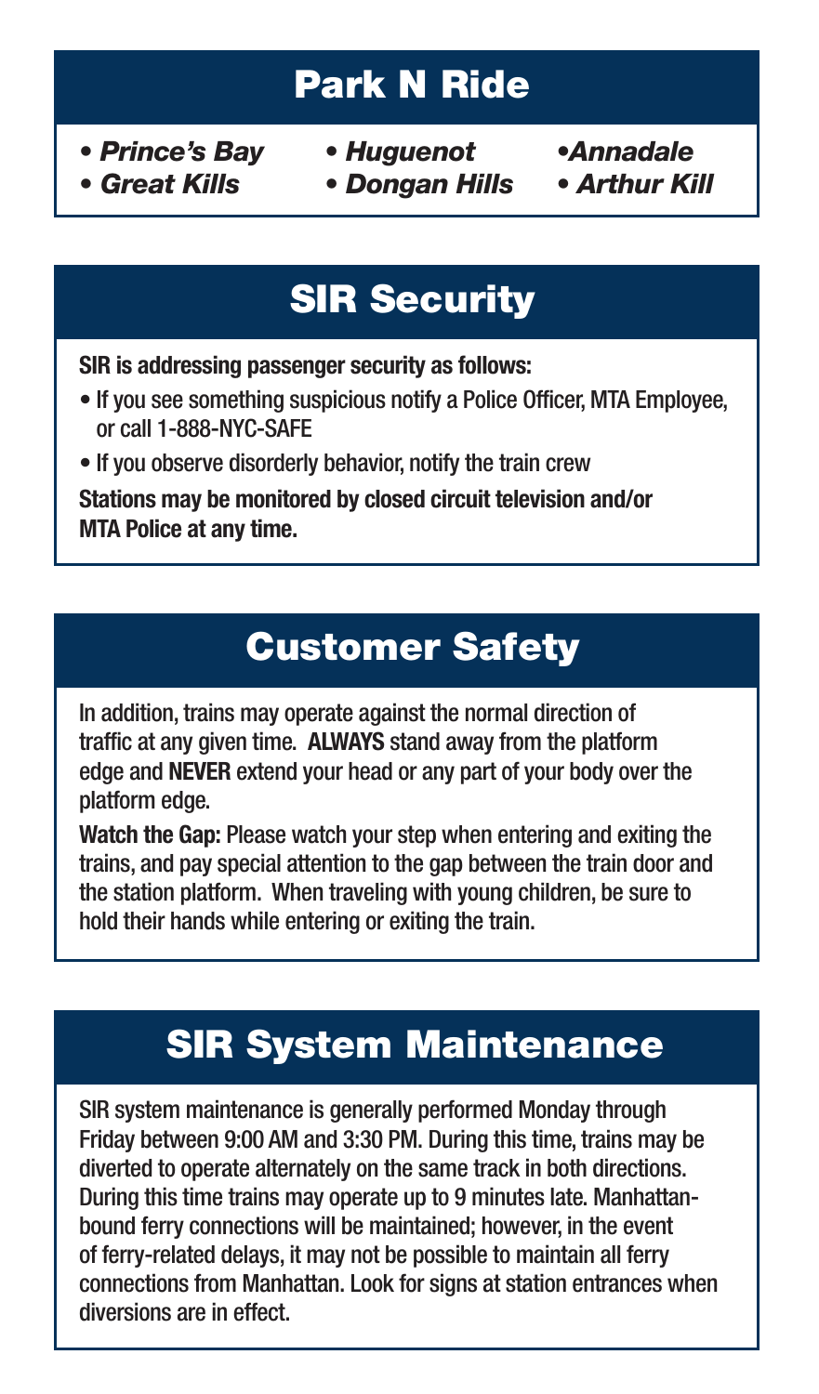## **Park N Ride**

- *Prince's Bay Huguenot •Annadale*
	-
- *Great Kills Dongan Hills Arthur Kill*

## **SIR Security**

**SIR is addressing passenger security as follows:**

- If you see something suspicious notify a Police Officer, MTA Employee, or call 1-888-NYC-SAFE
- If you observe disorderly behavior, notify the train crew

**Stations may be monitored by closed circuit television and/or MTA Police at any time.**

## **Customer Safety**

In addition, trains may operate against the normal direction of traffic at any given time. **ALWAYS** stand away from the platform edge and **NEVER** extend your head or any part of your body over the platform edge.

**Watch the Gap:** Please watch your step when entering and exiting the trains, and pay special attention to the gap between the train door and the station platform. When traveling with young children, be sure to hold their hands while entering or exiting the train.

## **SIR System Maintenance**

SIR system maintenance is generally performed Monday through Friday between 9:00 AM and 3:30 PM. During this time, trains may be diverted to operate alternately on the same track in both directions. During this time trains may operate up to 9 minutes late. Manhattanbound ferry connections will be maintained; however, in the event of ferry-related delays, it may not be possible to maintain all ferry connections from Manhattan. Look for signs at station entrances when diversions are in effect.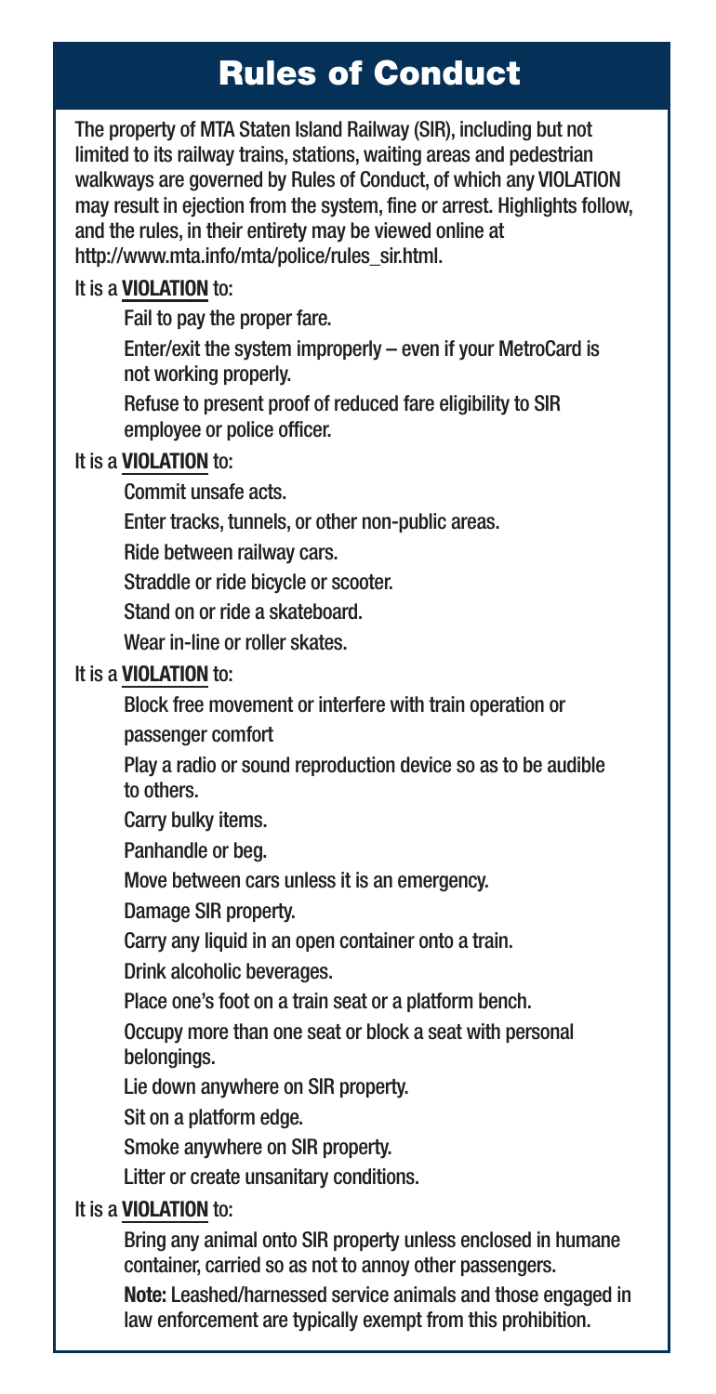#### **Rules of Conduct**

The property of MTA Staten Island Railway (SIR), including but not limited to its railway trains, stations, waiting areas and pedestrian walkways are governed by Rules of Conduct, of which any VIOLATION may result in ejection from the system, fine or arrest. Highlights follow, and the rules, in their entirety may be viewed online at http://www.mta.info/mta/police/rules\_sir.html.

#### It is a **VIOLATION** to:

Fail to pay the proper fare.

Enter/exit the system improperly – even if your MetroCard is not working properly.

Refuse to present proof of reduced fare eligibility to SIR employee or police officer.

#### It is a **VIOLATION** to:

Commit unsafe acts.

Enter tracks, tunnels, or other non-public areas.

Ride between railway cars.

Straddle or ride bicycle or scooter.

Stand on or ride a skateboard.

Wear in-line or roller skates.

#### It is a **VIOLATION** to:

Block free movement or interfere with train operation or

passenger comfort

Play a radio or sound reproduction device so as to be audible to others.

Carry bulky items.

Panhandle or beg.

Move between cars unless it is an emergency.

Damage SIR property.

Carry any liquid in an open container onto a train.

Drink alcoholic beverages.

Place one's foot on a train seat or a platform bench.

Occupy more than one seat or block a seat with personal belongings.

Lie down anywhere on SIR property.

Sit on a platform edge.

Smoke anywhere on SIR property.

Litter or create unsanitary conditions.

#### It is a **VIOLATION** to:

Bring any animal onto SIR property unless enclosed in humane container, carried so as not to annoy other passengers.

**Note:** Leashed/harnessed service animals and those engaged in law enforcement are typically exempt from this prohibition.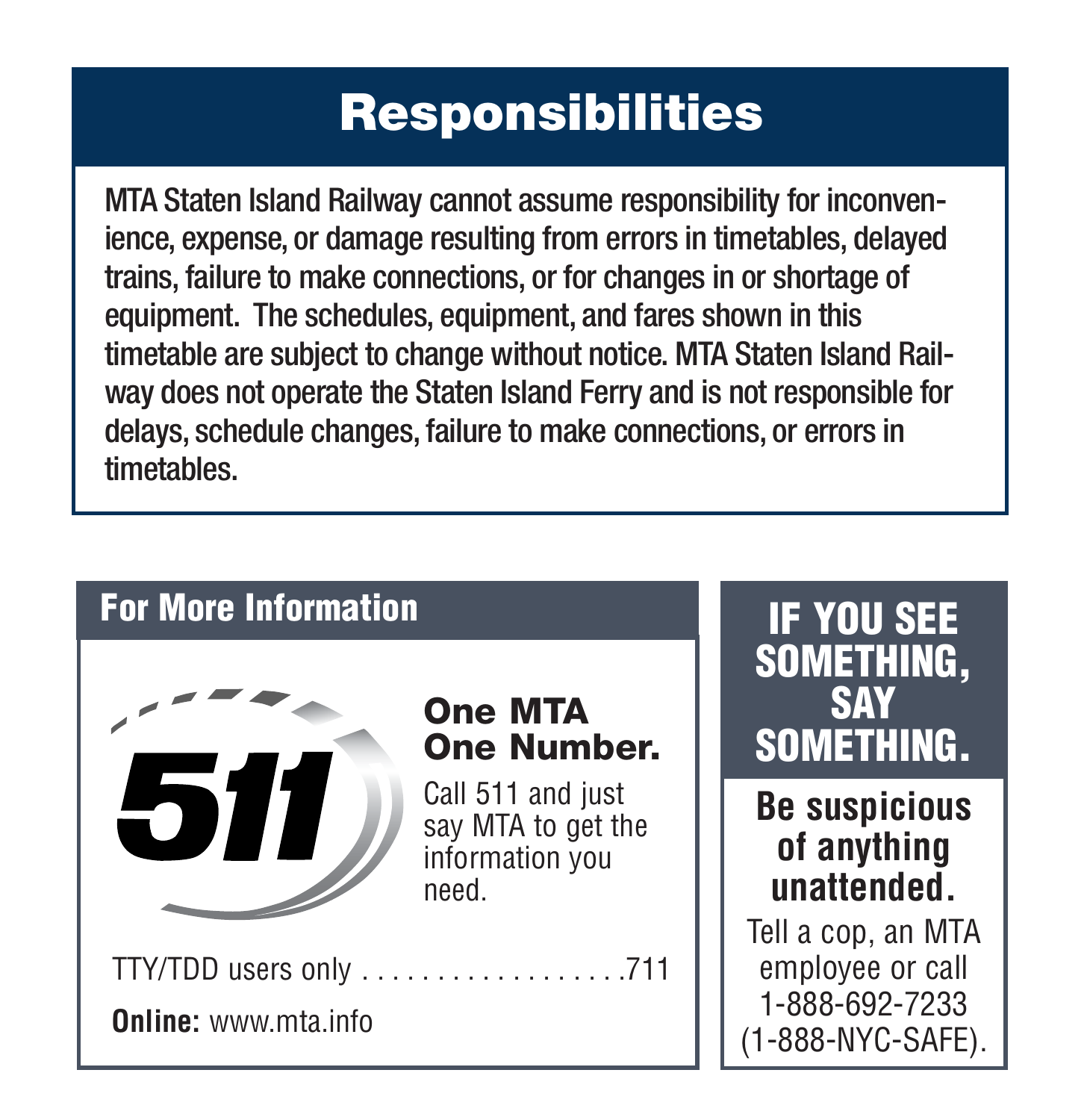#### **Responsibilities**

MTA Staten Island Railway cannot assume responsibility for inconvenience, expense, or damage resulting from errors in timetables, delayed trains, failure to make connections, or for changes in or shortage of equipment. The schedules, equipment, and fares shown in this timetable are subject to change without notice. MTA Staten Island Railway does not operate the Staten Island Ferry and is not responsible for delays, schedule changes, failure to make connections, or errors in timetables.

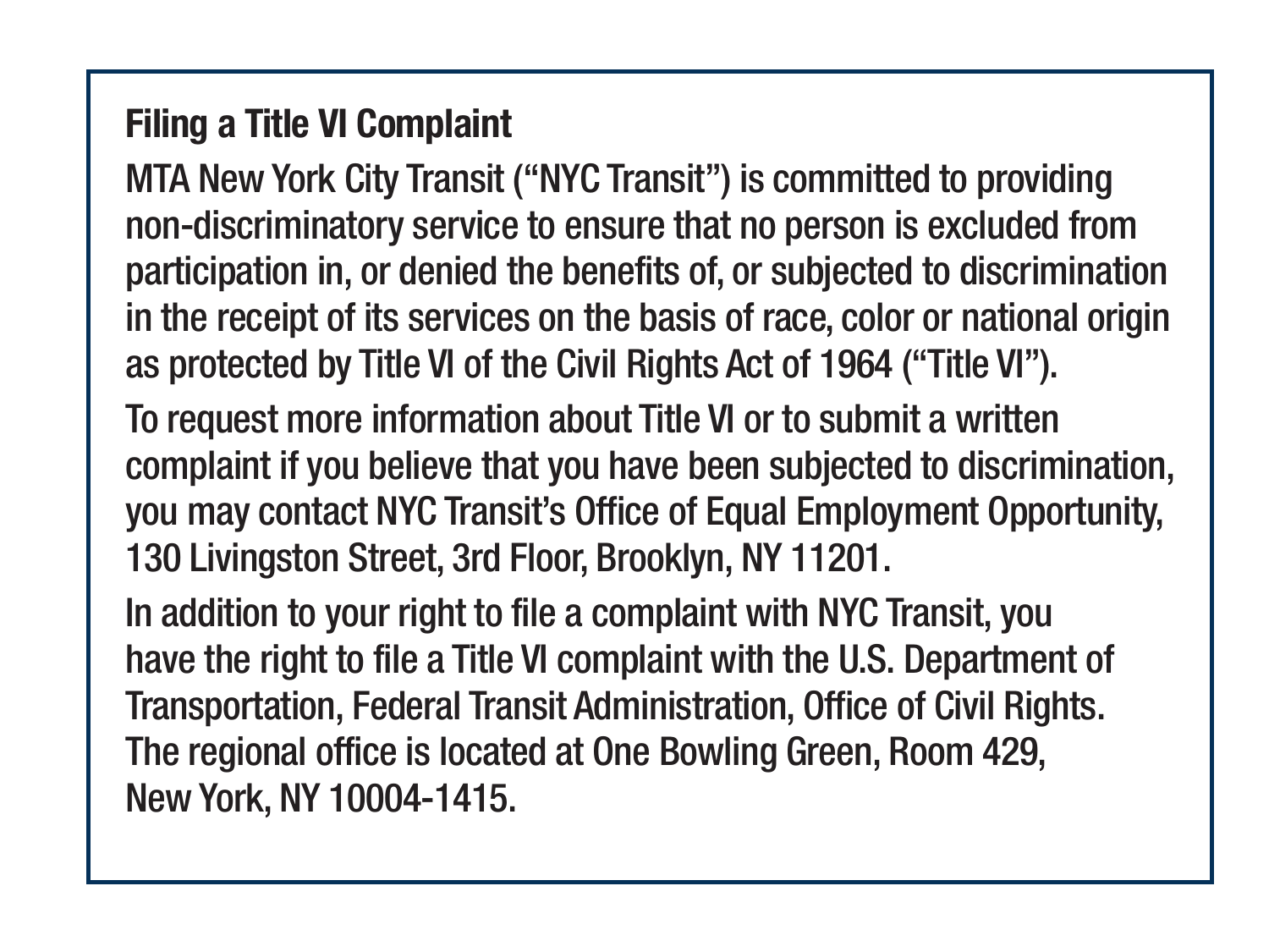#### **Filing a Title VI Complaint**

MTA New York City Transit ("NYC Transit") is committed to providing non-discriminatory service to ensure that no person is excluded from participation in, or denied the benefits of, or subjected to discrimination in the receipt of its services on the basis of race, color or national origin as protected by Title VI of the Civil Rights Act of 1964 ("Title VI").

To request more information about Title VI or to submit a written complaint if you believe that you have been subjected to discrimination, you may contact NYC Transit's Office of Equal Employment Opportunity, 130 Livingston Street, 3rd Floor, Brooklyn, NY 11201.

In addition to your right to file a complaint with NYC Transit, you have the right to file a Title VI complaint with the U.S. Department of Transportation, Federal Transit Administration, Office of Civil Rights. The regional office is located at One Bowling Green, Room 429, New York, NY 10004-1415.